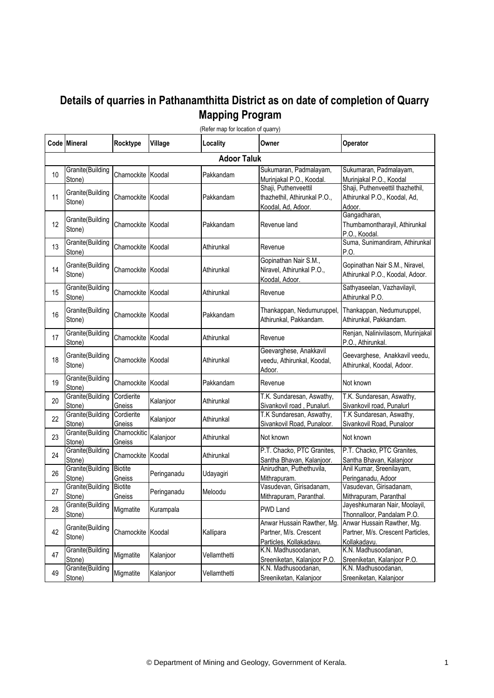## **Details of quarries in Pathanamthitta District as on date of completion of Quarry Mapping Program**

|    | Code Mineral               | Rocktype                    | Village     | Locality     | Owner                                                                          | Operator                                                                        |  |  |  |
|----|----------------------------|-----------------------------|-------------|--------------|--------------------------------------------------------------------------------|---------------------------------------------------------------------------------|--|--|--|
|    | <b>Adoor Taluk</b>         |                             |             |              |                                                                                |                                                                                 |  |  |  |
| 10 | Granite(Building<br>Stone) | Charnockite Koodal          |             | Pakkandam    | Sukumaran, Padmalayam,<br>Murinjakal P.O., Koodal.                             | Sukumaran, Padmalayam,<br>Murinjakal P.O., Koodal                               |  |  |  |
| 11 | Granite(Building<br>Stone) | Charnockite <b>I</b> Koodal |             | Pakkandam    | Shaji, Puthenveettil<br>thazhethil, Athirunkal P.O.,<br>Koodal, Ad, Adoor.     | Shaji, Puthenveettil thazhethil,<br>Athirunkal P.O., Koodal, Ad,<br>Adoor.      |  |  |  |
| 12 | Granite(Building<br>Stone) | Charnockite Koodal          |             | Pakkandam    | Revenue land                                                                   | Gangadharan,<br>Thumbamontharayil, Athirunkal<br>P.O., Koodal.                  |  |  |  |
| 13 | Granite(Building<br>Stone) | Charnockite Koodal          |             | Athirunkal   | Revenue                                                                        | Suma, Sunimandiram, Athirunkal<br>P.O.                                          |  |  |  |
| 14 | Granite(Building<br>Stone) | Charnockite Koodal          |             | Athirunkal   | Gopinathan Nair S.M.,<br>Niravel, Athirunkal P.O.,<br>Koodal, Adoor.           | Gopinathan Nair S.M., Niravel,<br>Athirunkal P.O., Koodal, Adoor.               |  |  |  |
| 15 | Granite(Building<br>Stone) | Charnockite Koodal          |             | Athirunkal   | Revenue                                                                        | Sathyaseelan, Vazhavilayil,<br>Athirunkal P.O.                                  |  |  |  |
| 16 | Granite(Building<br>Stone) | Charnockite Koodal          |             | Pakkandam    | Thankappan, Nedumuruppel,<br>Athirunkal, Pakkandam.                            | Thankappan, Nedumuruppel,<br>Athirunkal, Pakkandam.                             |  |  |  |
| 17 | Granite(Building<br>Stone) | Charnockite Koodal          |             | Athirunkal   | Revenue                                                                        | Renjan, Nalinivilasom, Murinjakal<br>P.O., Athirunkal.                          |  |  |  |
| 18 | Granite(Building<br>Stone) | Charnockite Koodal          |             | Athirunkal   | Geevarghese, Anakkavil<br>veedu, Athirunkal, Koodal,<br>Adoor.                 | Geevarghese, Anakkavil veedu,<br>Athirunkal, Koodal, Adoor.                     |  |  |  |
| 19 | Granite(Building<br>Stone) | Charnockite Koodal          |             | Pakkandam    | Revenue                                                                        | Not known                                                                       |  |  |  |
| 20 | Granite(Building<br>Stone) | Cordierite<br>Gneiss        | Kalanjoor   | Athirunkal   | T.K. Sundaresan, Aswathy,<br>Sivankovil road, Punalurl.                        | T.K. Sundaresan, Aswathy,<br>Sivankovil road, Punalurl                          |  |  |  |
| 22 | Granite(Building<br>Stone) | Cordierite<br>Gneiss        | Kalanjoor   | Athirunkal   | T.K Sundaresan, Aswathy,<br>Sivankovil Road, Punaloor.                         | T.K Sundaresan, Aswathy,<br>Sivankovil Road, Punaloor                           |  |  |  |
| 23 | Granite(Building<br>Stone) | Charnockitic<br>Gneiss      | Kalanjoor   | Athirunkal   | Not known                                                                      | Not known                                                                       |  |  |  |
| 24 | Granite(Building<br>Stone) | Charnockite Koodal          |             | Athirunkal   | P.T. Chacko, PTC Granites,<br>Santha Bhavan, Kalanjoor.                        | P.T. Chacko, PTC Granites,<br>Santha Bhavan, Kalanjoor                          |  |  |  |
| 26 | Granite(Building<br>Stone) | <b>Biotite</b><br>Gneiss    | Peringanadu | Udayagiri    | Anirudhan, Puthethuvila,<br>Mithrapuram.                                       | Anil Kumar, Sreenilayam,<br>Peringanadu, Adoor                                  |  |  |  |
| 27 | Granite(Building<br>Stone) | <b>Biotite</b><br>Gneiss    | Peringanadu | Meloodu      | Vasudevan, Girisadanam,<br>Mithrapuram, Paranthal.                             | Vasudevan, Girisadanam,<br>Mithrapuram, Paranthal                               |  |  |  |
| 28 | Granite(Building<br>Stone) | Migmatite                   | Kurampala   |              | <b>PWD Land</b>                                                                | Jayeshkumaran Nair, Moolayil,<br>Thonnalloor, Pandalam P.O.                     |  |  |  |
| 42 | Granite(Building<br>Stone) | Charnockite Koodal          |             | Kallipara    | Anwar Hussain Rawther, Mg<br>Partner, M/s. Crescent<br>Particles, Kollakadavu. | Anwar Hussain Rawther, Mg.<br>Partner, M/s. Crescent Particles,<br>Kollakadavu. |  |  |  |
| 47 | Granite(Building<br>Stone) | Migmatite                   | Kalanjoor   | Vellamthetti | K.N. Madhusoodanan,<br>Sreeniketan, Kalanjoor P.O.                             | K.N. Madhusoodanan,<br>Sreeniketan, Kalanjoor P.O.                              |  |  |  |
| 49 | Granite(Building<br>Stone) | Migmatite                   | Kalanjoor   | Vellamthetti | K.N. Madhusoodanan,<br>Sreeniketan, Kalanjoor                                  | K.N. Madhusoodanan,<br>Sreeniketan, Kalanjoor                                   |  |  |  |

(Refer map for location of quarry)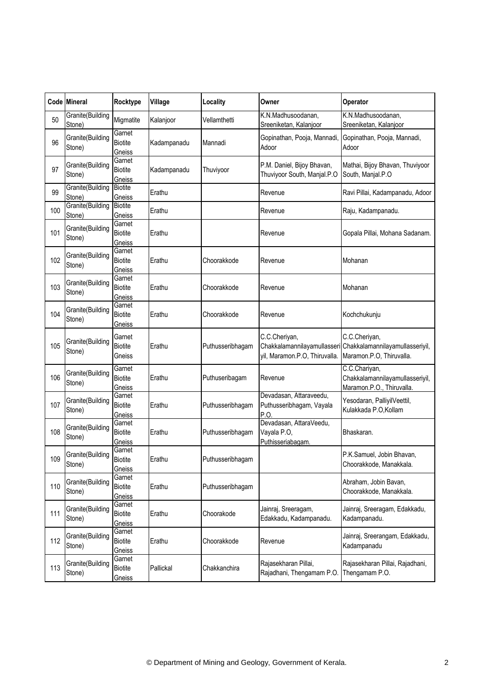|     | Code Mineral               | Rocktype                           | Village     | Locality         | Owner                                                       | Operator                                                                                                 |
|-----|----------------------------|------------------------------------|-------------|------------------|-------------------------------------------------------------|----------------------------------------------------------------------------------------------------------|
| 50  | Granite(Building<br>Stone) | Migmatite                          | Kalanjoor   | Vellamthetti     | K.N.Madhusoodanan,<br>Sreeniketan, Kalanjoor                | K.N.Madhusoodanan,<br>Sreeniketan, Kalanjoor                                                             |
| 96  | Granite(Building<br>Stone) | Garnet<br><b>Biotite</b><br>Gneiss | Kadampanadu | Mannadi          | Gopinathan, Pooja, Mannadi,<br>Adoor                        | Gopinathan, Pooja, Mannadi,<br>Adoor                                                                     |
| 97  | Granite(Building<br>Stone) | Garnet<br><b>Biotite</b><br>Gneiss | Kadampanadu | Thuviyoor        | P.M. Daniel, Bijoy Bhavan,<br>Thuviyoor South, Manjal.P.O   | Mathai, Bijoy Bhavan, Thuviyoor<br>South, Manjal.P.O                                                     |
| 99  | Granite(Building<br>Stone) | <b>Biotite</b><br>Gneiss           | Erathu      |                  | Revenue                                                     | Ravi Pillai, Kadampanadu, Adoor                                                                          |
| 100 | Granite(Building<br>Stone) | <b>Biotite</b><br>Gneiss           | Erathu      |                  | Revenue                                                     | Raju, Kadampanadu.                                                                                       |
| 101 | Granite(Building<br>Stone) | Garnet<br><b>Biotite</b><br>Gneiss | Erathu      |                  | Revenue                                                     | Gopala Pillai, Mohana Sadanam.                                                                           |
| 102 | Granite(Building<br>Stone) | Garnet<br><b>Biotite</b><br>Gneiss | Erathu      | Choorakkode      | Revenue                                                     | Mohanan                                                                                                  |
| 103 | Granite(Building<br>Stone) | Garnet<br><b>Biotite</b><br>Gneiss | Erathu      | Choorakkode      | Revenue                                                     | Mohanan                                                                                                  |
| 104 | Granite(Building<br>Stone) | Garnet<br><b>Biotite</b><br>Gneiss | Erathu      | Choorakkode      | Revenue                                                     | Kochchukunju                                                                                             |
| 105 | Granite(Building<br>Stone) | Garnet<br><b>Biotite</b><br>Gneiss | Erathu      | Puthusseribhagam | C.C.Cheriyan,<br>yil, Maramon.P.O, Thiruvalla.              | C.C.Cheriyan,<br>Chakkalamannilayamullasseri Chakkalamannilayamullasseriyil,<br>Maramon.P.O, Thiruvalla. |
| 106 | Granite(Building<br>Stone) | Garnet<br><b>Biotite</b><br>Gneiss | Erathu      | Puthuseribagam   | Revenue                                                     | C.C.Chariyan,<br>Chakkalamannilayamullasseriyil,<br>Maramon.P.O., Thiruvalla.                            |
| 107 | Granite(Building<br>Stone) | Garnet<br>Biotite<br>Gneiss        | Erathu      | Puthusseribhagam | Devadasan, Attaraveedu,<br>Puthusseribhagam, Vayala<br>P.O  | Yesodaran, PalliyilVeettil,<br>Kulakkada P.O, Kollam                                                     |
| 108 | Granite(Building<br>Stone) | Garnet<br><b>Biotite</b><br>Gneiss | Erathu      | Puthusseribhagam | Devadasan, AttaraVeedu,<br>Vayala P.O,<br>Puthisseriabagam. | Bhaskaran.                                                                                               |
| 109 | Granite(Building<br>Stone) | Garnet<br><b>Biotite</b><br>Gneiss | Erathu      | Puthusseribhagam |                                                             | P.K.Samuel, Jobin Bhavan,<br>Choorakkode, Manakkala.                                                     |
| 110 | Granite(Building<br>Stone) | Garnet<br><b>Biotite</b><br>Gneiss | Erathu      | Puthusseribhagam |                                                             | Abraham, Jobin Bavan,<br>Choorakkode, Manakkala.                                                         |
| 111 | Granite(Building<br>Stone) | Garnet<br><b>Biotite</b><br>Gneiss | Erathu      | Choorakode       | Jainraj, Sreeragam,<br>Edakkadu, Kadampanadu.               | Jainraj, Sreeragam, Edakkadu,<br>Kadampanadu.                                                            |
| 112 | Granite(Building<br>Stone) | Garnet<br><b>Biotite</b><br>Gneiss | Erathu      | Choorakkode      | Revenue                                                     | Jainraj, Sreerangam, Edakkadu,<br>Kadampanadu                                                            |
| 113 | Granite(Building<br>Stone) | Garnet<br>Biotite<br>Gneiss        | Pallickal   | Chakkanchira     | Rajasekharan Pillai,<br>Rajadhani, Thengamam P.O.           | Rajasekharan Pillai, Rajadhani,<br>Thengamam P.O.                                                        |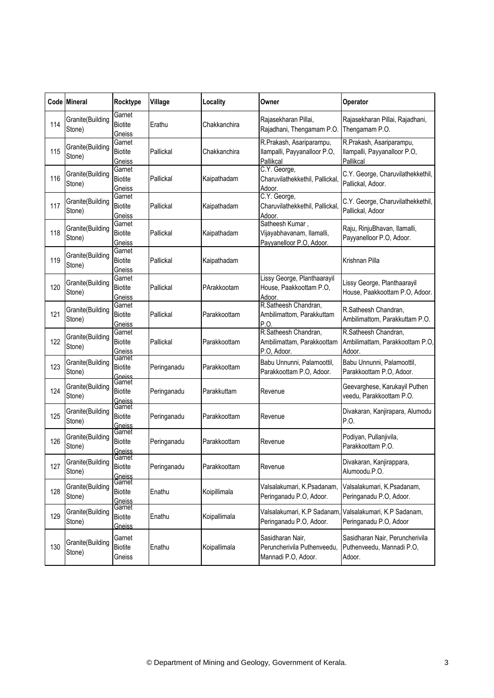|     | Code Mineral               | Rocktype                           | Village     | Locality     | Owner                                                                    | Operator                                                                          |
|-----|----------------------------|------------------------------------|-------------|--------------|--------------------------------------------------------------------------|-----------------------------------------------------------------------------------|
| 114 | Granite(Building<br>Stone) | Garnet<br><b>Biotite</b><br>Gneiss | Erathu      | Chakkanchira | Rajasekharan Pillai,<br>Rajadhani, Thengamam P.O.                        | Rajasekharan Pillai, Rajadhani,<br>Thengamam P.O.                                 |
| 115 | Granite(Building<br>Stone) | Garnet<br><b>Biotite</b><br>Gneiss | Pallickal   | Chakkanchira | R.Prakash, Asariparampu,<br>Ilampalli, Payyanalloor P.O,<br>Pallikcal    | R.Prakash, Asariparampu,<br>Ilampalli, Payyanalloor P.O,<br>Pallikcal             |
| 116 | Granite(Building<br>Stone) | Garnet<br><b>Biotite</b><br>Gneiss | Pallickal   | Kaipathadam  | C.Y. George,<br>Charuvilathekkethil, Pallickal,<br>Adoor.                | C.Y. George, Charuvilathekkethil,<br>Pallickal, Adoor.                            |
| 117 | Granite(Building<br>Stone) | Garnet<br><b>Biotite</b><br>Gneiss | Pallickal   | Kaipathadam  | C.Y. George,<br>Charuvilathekkethil, Pallickal,<br>Adoor.                | C.Y. George, Charuvilathekkethil,<br>Pallickal, Adoor                             |
| 118 | Granite(Building<br>Stone) | Garnet<br><b>Biotite</b><br>Gneiss | Pallickal   | Kaipathadam  | Satheesh Kumar,<br>Vijayabhavanam, Ilamalli,<br>Payyanelloor P.O, Adoor. | Raju, RinjuBhavan, Ilamalli,<br>Payyanelloor P.O, Adoor.                          |
| 119 | Granite(Building<br>Stone) | Garnet<br><b>Biotite</b><br>Gneiss | Pallickal   | Kaipathadam  |                                                                          | Krishnan Pilla                                                                    |
| 120 | Granite(Building<br>Stone) | Garnet<br><b>Biotite</b><br>Gneiss | Pallickal   | PArakkootam  | Lissy George, Planthaarayil<br>House, Paakkoottam P.O.<br>Adoor.         | Lissy George, Planthaarayil<br>House, Paakkoottam P.O, Adoor.                     |
| 121 | Granite(Building<br>Stone) | Garnet<br><b>Biotite</b><br>Gneiss | Pallickal   | Parakkoottam | R.Satheesh Chandran,<br>Ambilimattom, Parakkuttam<br>P.O.                | R.Satheesh Chandran,<br>Ambilimattom, Parakkuttam P.O.                            |
| 122 | Granite(Building<br>Stone) | Garnet<br><b>Biotite</b><br>Gneiss | Pallickal   | Parakkoottam | R.Satheesh Chandran,<br>Ambilimattam, Parakkoottam<br>P.O. Adoor.        | R.Satheesh Chandran,<br>Ambilimattam, Parakkoottam P.O,<br>Adoor.                 |
| 123 | Granite(Building<br>Stone) | Garnet<br><b>Biotite</b><br>Gneiss | Peringanadu | Parakkoottam | Babu Unnunni, Palamoottil,<br>Parakkoottam P.O, Adoor.                   | Babu Unnunni, Palamoottil,<br>Parakkoottam P.O, Adoor.                            |
| 124 | Granite(Building<br>Stone) | Garnet<br><b>Biotite</b><br>Gneiss | Peringanadu | Parakkuttam  | Revenue                                                                  | Geevarghese, Karukayil Puthen<br>veedu, Parakkoottam P.O.                         |
| 125 | Granite(Building<br>Stone) | Garnet<br><b>Biotite</b><br>Gneiss | Peringanadu | Parakkoottam | Revenue                                                                  | Divakaran, Kanjirapara, Alumodu<br>P.O.                                           |
| 126 | Granite(Building<br>Stone) | Garnet<br><b>Biotite</b><br>Gneiss | Peringanadu | Parakkoottam | Revenue                                                                  | Podiyan, Pullanjivila,<br>Parakkoottam P.O.                                       |
| 127 | Granite(Building<br>Stone) | Garnet<br>Biotite<br>Gneiss        | Peringanadu | Parakkoottam | Revenue                                                                  | Divakaran, Kanjirappara,<br>Alumoodu.P.O.                                         |
| 128 | Granite(Building<br>Stone) | Garnet<br>Biotite<br>Gneiss        | Enathu      | Koipillimala | Valsalakumari, K.Psadanam,<br>Peringanadu P.O, Adoor.                    | Valsalakumari, K.Psadanam,<br>Peringanadu P.O, Adoor.                             |
| 129 | Granite(Building<br>Stone) | Garnet<br><b>Biotite</b><br>Gneiss | Enathu      | Koipallimala | Peringanadu P.O, Adoor.                                                  | Valsalakumari, K.P Sadanam, Valsalakumari, K.P Sadanam,<br>Peringanadu P.O, Adoor |
| 130 | Granite(Building<br>Stone) | Garnet<br><b>Biotite</b><br>Gneiss | Enathu      | Koipallimala | Sasidharan Nair,<br>Peruncherivila Puthenveedu,<br>Mannadi P.O, Adoor.   | Sasidharan Nair, Peruncherivila<br>Puthenveedu, Mannadi P.O,<br>Adoor.            |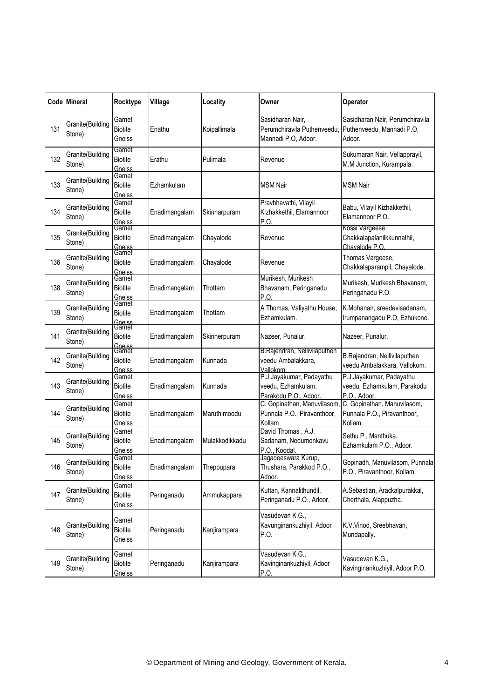|     | Code Mineral               | Rocktype                                     | Village       | Locality       | Owner                                                                   | Operator                                                                |
|-----|----------------------------|----------------------------------------------|---------------|----------------|-------------------------------------------------------------------------|-------------------------------------------------------------------------|
| 131 | Granite(Building<br>Stone) | Garnet<br><b>Biotite</b><br>Gneiss           | Enathu        | Koipallimala   | Sasidharan Nair,<br>Perumchiravila Puthenveedu,<br>Mannadi P.O, Adoor.  | Sasidharan Nair, Perumchiravila<br>Puthenveedu, Mannadi P.O,<br>Adoor.  |
| 132 | Granite(Building<br>Stone) | Garnet<br><b>Biotite</b><br>Gneiss           | Erathu        | Pulimala       | Revenue                                                                 | Sukumaran Nair, Vellapprayil,<br>M.M Junction, Kurampala.               |
| 133 | Granite(Building<br>Stone) | Garnet<br><b>Biotite</b><br>Gneiss           | Ezhamkulam    |                | <b>MSM Nair</b>                                                         | <b>MSM Nair</b>                                                         |
| 134 | Granite(Building<br>Stone) | Garnet<br><b>Biotite</b><br><b>Gneiss</b>    | Enadimangalam | Skinnarpuram   | Pravbhavathi, Vilayil<br>Kizhakkethil, Elamannoor<br>P.O                | Babu, Vilayil Kizhakkethil,<br>Elamannoor P.O.                          |
| 135 | Granite(Building<br>Stone) | Garnet<br><b>Biotite</b>                     | Enadimangalam | Chayalode      | Revenue                                                                 | Kossi Vargeese,<br>Chakkalapalanilkkunnathil,<br>Chavalode P.O.         |
| 136 | Granite(Building<br>Stone) | Gneiss<br>Garnet<br><b>Biotite</b><br>Gneiss | Enadimangalam | Chayalode      | Revenue                                                                 | Thomas Vargeese,<br>Chakkalaparampil, Chayalode.                        |
| 138 | Granite(Building<br>Stone) | Garnet<br><b>Biotite</b><br>Gneiss           | Enadimangalam | Thottam        | Murikesh, Murikesh<br>Bhavanam, Peringanadu<br>P.O                      | Murikesh, Murikesh Bhavanam,<br>Peringanadu P.O.                        |
| 139 | Granite(Building<br>Stone) | Garnet<br><b>Biotite</b><br>Gneiss<br>Garnet | Enadimangalam | Thottam        | A Thomas, Valiyathu House,<br>Ezhamkulam.                               | K.Mohanan, sreedevisadanam,<br>Irumpanangadu P.O, Ezhukone.             |
| 141 | Granite(Building<br>Stone) | <b>Biotite</b><br>Gneiss                     | Enadimangalam | Skinnerpuram   | Nazeer, Punalur.                                                        | Nazeer, Punalur.                                                        |
| 142 | Granite(Building<br>Stone) | Garnet<br><b>Biotite</b><br>Gneiss           | Enadimangalam | Kunnada        | B.Rajendran, Nellivilaputhen<br>veedu Ambalakkara,<br>Vallokom          | B.Rajendran, Nellivilaputhen<br>veedu Ambalakkara, Vallokom.            |
| 143 | Granite(Building<br>Stone) | Garnet<br><b>Biotite</b><br>Gneiss           | Enadimangalam | Kunnada        | P.J.Jayakumar, Padayathu<br>veedu, Ezhamkulam,<br>Parakodu P.O., Adoor. | P.J.Jayakumar, Padayathu<br>veedu, Ezhamkulam, Parakodu<br>P.O., Adoor. |
| 144 | Granite(Building<br>Stone) | Garnet<br><b>Biotite</b><br>Gneiss           | Enadimangalam | Maruthimoodu   | C. Gopinathan, Manuvilasom<br>Punnala P.O., Piravanthoor,<br>Kollam     | C. Gopinathan, Manuvilasom,<br>Punnala P.O., Piravanthoor,<br>Kollam.   |
| 145 | Granite(Building<br>Stone) | Garnet<br><b>Biotite</b><br>Gneiss           | Enadimangalam | Mulakkodikkadu | David Thomas, A.J.<br>Sadanam, Nedumonkavu<br>P.O., Koodal.             | Sethu P., Manthuka,<br>Ezhamkulam P.O., Adoor.                          |
| 146 | Granite(Building<br>Stone) | Garnet<br>Biotite<br>Gneiss                  | Enadimangalam | Theppupara     | Jagadeeswara Kurup,<br>Thushara, Parakkod P.O.,<br>Adoor.               | Gopinadh, Manuvilasom, Punnala<br>P.O., Piravanthoor, Kollam.           |
| 147 | Granite(Building<br>Stone) | Garnet<br><b>Biotite</b><br>Gneiss           | Peringanadu   | Ammukappara    | Kuttan, Kannalithundil,<br>Peringanadu P.O., Adoor.                     | A.Sebastian, Arackalpurakkal,<br>Cherthala, Alappuzha.                  |
| 148 | Granite(Building<br>Stone) | Garnet<br><b>Biotite</b><br>Gneiss           | Peringanadu   | Kanjirampara   | Vasudevan K.G.,<br>Kavunginankuzhiyil, Adoor<br>P.O.                    | K.V.Vinod, Sreebhavan,<br>Mundapally.                                   |
| 149 | Granite(Building<br>Stone) | Garnet<br><b>Biotite</b><br>Gneiss           | Peringanadu   | Kanjirampara   | Vasudevan K.G.,<br>Kavinginankuzhiyil, Adoor<br>P.O.                    | Vasudevan K.G.,<br>Kavinginankuzhiyil, Adoor P.O.                       |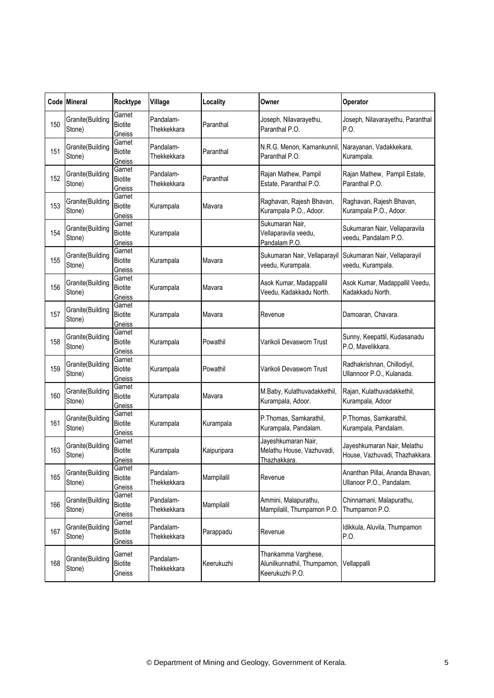|     | Code Mineral               | Rocktype                           | Village                  | Locality    | Owner                                                                 | Operator                                                      |
|-----|----------------------------|------------------------------------|--------------------------|-------------|-----------------------------------------------------------------------|---------------------------------------------------------------|
| 150 | Granite(Building<br>Stone) | Garnet<br><b>Biotite</b><br>Gneiss | Pandalam-<br>Thekkekkara | Paranthal   | Joseph, Nilavarayethu,<br>Paranthal P.O.                              | Joseph, Nilavarayethu, Paranthal<br>P.O.                      |
| 151 | Granite(Building<br>Stone) | Garnet<br><b>Biotite</b><br>Gneiss | Pandalam-<br>Thekkekkara | Paranthal   | N.R.G. Menon, Karnankunnil<br>Paranthal P.O.                          | Narayanan, Vadakkekara,<br>Kurampala.                         |
| 152 | Granite(Building<br>Stone) | Garnet<br><b>Biotite</b><br>Gneiss | Pandalam-<br>Thekkekkara | Paranthal   | Rajan Mathew, Pampil<br>Estate, Paranthal P.O.                        | Rajan Mathew, Pampil Estate,<br>Paranthal P.O.                |
| 153 | Granite(Building<br>Stone) | Garnet<br><b>Biotite</b><br>Gneiss | Kurampala                | Mavara      | Raghavan, Rajesh Bhavan,<br>Kurampala P.O., Adoor.                    | Raghavan, Rajesh Bhavan,<br>Kurampala P.O., Adoor.            |
| 154 | Granite(Building<br>Stone) | Garnet<br><b>Biotite</b><br>Gneiss | Kurampala                |             | Sukumaran Nair,<br>Vellaparavila veedu,<br>Pandalam P.O.              | Sukumaran Nair, Vellaparavila<br>veedu, Pandalam P.O.         |
| 155 | Granite(Building<br>Stone) | Garnet<br><b>Biotite</b><br>Gneiss | Kurampala                | Mavara      | Sukumaran Nair, Vellaparayil<br>veedu, Kurampala.                     | Sukumaran Nair, Vellaparayil<br>veedu, Kurampala.             |
| 156 | Granite(Building<br>Stone) | Garnet<br><b>Biotite</b><br>Gneiss | Kurampala                | Mavara      | Asok Kumar, Madappallil<br>Veedu, Kadakkadu North.                    | Asok Kumar, Madappallil Veedu,<br>Kadakkadu North.            |
| 157 | Granite(Building<br>Stone) | Garnet<br><b>Biotite</b><br>Gneiss | Kurampala                | Mavara      | Revenue                                                               | Damoaran, Chavara.                                            |
| 158 | Granite(Building<br>Stone) | Garnet<br><b>Biotite</b><br>Gneiss | Kurampala                | Powathil    | Varikoli Devaswom Trust                                               | Sunny, Keepattil, Kudasanadu<br>P.O, Mavelikkara.             |
| 159 | Granite(Building<br>Stone) | Garnet<br><b>Biotite</b><br>Gneiss | Kurampala                | Powathil    | Varikoli Devaswom Trust                                               | Radhakrishnan, Chillodiyil,<br>Ullannoor P.O., Kulanada.      |
| 160 | Granite(Building<br>Stone) | Garnet<br><b>Biotite</b><br>Gneiss | Kurampala                | Mavara      | M.Baby, Kulathuvadakkethil,<br>Kurampala, Adoor.                      | Rajan, Kulathuvadakkethil,<br>Kurampala, Adoor                |
| 161 | Granite(Building<br>Stone) | Garnet<br><b>Biotite</b><br>Gneiss | Kurampala                | Kurampala   | P.Thomas, Samkarathil,<br>Kurampala, Pandalam.                        | P.Thomas, Samkarathil,<br>Kurampala, Pandalam.                |
| 163 | Granite(Building<br>Stone) | Garnet<br><b>Biotite</b><br>Gneiss | Kurampala                | Kaipuripara | Jayeshkumaran Nair,<br>Melathu House, Vazhuvadi,<br>Thazhakkara.      | Jayeshkumaran Nair, Melathu<br>House, Vazhuvadi, Thazhakkara. |
| 165 | Granite(Building<br>Stone) | Garnet<br><b>Biotite</b><br>Gneiss | Pandalam-<br>Thekkekkara | Mampilalil  | Revenue                                                               | Ananthan Pillai, Ananda Bhavan,<br>Ullanoor P.O., Pandalam.   |
| 166 | Granite(Building<br>Stone) | Garnet<br><b>Biotite</b><br>Gneiss | Pandalam-<br>Thekkekkara | Mampilalil  | Ammini, Malapurathu,<br>Mampilalil, Thumpamon P.O.                    | Chinnamani, Malapurathu,<br>Thumpamon P.O.                    |
| 167 | Granite(Building<br>Stone) | Garnet<br><b>Biotite</b><br>Gneiss | Pandalam-<br>Thekkekkara | Parappadu   | Revenue                                                               | Idikkula, Aluvila, Thumpamon<br>P.O.                          |
| 168 | Granite(Building<br>Stone) | Garnet<br><b>Biotite</b><br>Gneiss | Pandalam-<br>Thekkekkara | Keerukuzhi  | Thankamma Varghese,<br>Alunilkunnathil, Thumpamon,<br>Keerukuzhi P.O. | Vellappalli                                                   |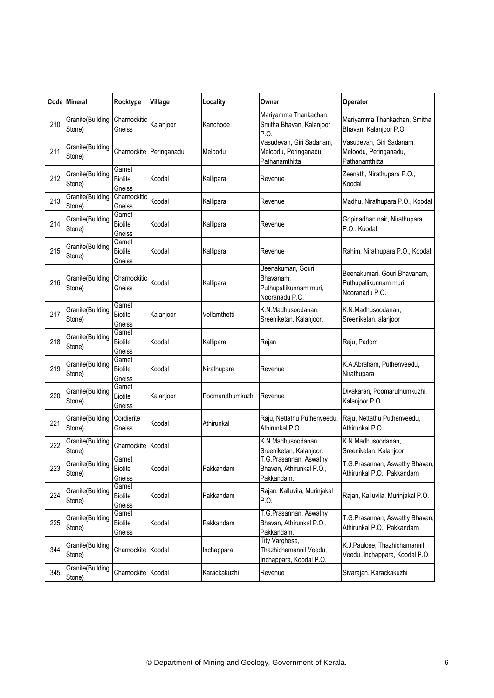|     | Code Mineral               | Rocktype                                  | Village     | Locality         | Owner                                                                       | <b>Operator</b>                                                          |
|-----|----------------------------|-------------------------------------------|-------------|------------------|-----------------------------------------------------------------------------|--------------------------------------------------------------------------|
| 210 | Granite(Building<br>Stone) | Charnockitic<br>Gneiss                    | Kalanjoor   | Kanchode         | Mariyamma Thankachan,<br>Smitha Bhavan, Kalanjoor<br>P.O.                   | Mariyamma Thankachan, Smitha<br>Bhavan, Kalanjoor P.O                    |
| 211 | Granite(Building<br>Stone) | Charnockite                               | Peringanadu | Meloodu          | Vasudevan, Giri Sadanam,<br>Meloodu, Peringanadu,<br>Pathanamthitta.        | Vasudevan, Giri Sadanam,<br>Meloodu, Peringanadu,<br>Pathanamthitta      |
| 212 | Granite(Building<br>Stone) | Garnet<br><b>Biotite</b><br>Gneiss        | Koodal      | Kallipara        | Revenue                                                                     | Zeenath, Nirathupara P.O.,<br>Koodal                                     |
| 213 | Granite(Building<br>Stone) | Charnockitic<br>Gneiss                    | Koodal      | Kallipara        | Revenue                                                                     | Madhu, Nirathupara P.O., Koodal                                          |
| 214 | Granite(Building<br>Stone) | Garnet<br><b>Biotite</b><br>Gneiss        | Koodal      | Kallipara        | Revenue                                                                     | Gopinadhan nair, Nirathupara<br>P.O., Koodal                             |
| 215 | Granite(Building<br>Stone) | Garnet<br><b>Biotite</b><br>Gneiss        | Koodal      | Kallipara        | Revenue                                                                     | Rahim, Nirathupara P.O., Koodal                                          |
| 216 | Granite(Building<br>Stone) | Charnockitic<br>Gneiss                    | Koodal      | Kallipara        | Beenakumari, Gouri<br>Bhavanam,<br>Puthupallikunnam muri,<br>Nooranadu P.O. | Beenakumari, Gouri Bhavanam,<br>Puthupallikunnam muri,<br>Nooranadu P.O. |
| 217 | Granite(Building<br>Stone) | Garnet<br><b>Biotite</b><br>Gneiss        | Kalanjoor   | Vellamthetti     | K.N.Madhusoodanan,<br>Sreeniketan, Kalanjoor.                               | K.N.Madhusoodanan,<br>Sreeniketan, alanjoor                              |
| 218 | Granite(Building<br>Stone) | Garnet<br><b>Biotite</b><br>Gneiss        | Koodal      | Kallipara        | Rajan                                                                       | Raju, Padom                                                              |
| 219 | Granite(Building<br>Stone) | Garnet<br><b>Biotite</b><br>Gneiss        | Koodal      | Nirathupara      | Revenue                                                                     | K.A.Abraham, Puthenveedu,<br>Nirathupara                                 |
| 220 | Granite(Building<br>Stone) | Garnet<br><b>Biotite</b><br>Gneiss        | Kalanjoor   | Poomaruthumkuzhi | Revenue                                                                     | Divakaran, Poomaruthumkuzhi,<br>Kalanjoor P.O.                           |
| 221 | Granite(Building<br>Stone) | Cordierite<br>Gneiss                      | Koodal      | Athirunkal       | Raju, Nettathu Puthenveedu,<br>Athirunkal P.O.                              | Raju, Nettathu Puthenveedu,<br>Athirunkal P.O.                           |
| 222 | Granite(Building<br>Stone) | Charnockite                               | Koodal      |                  | K.N.Madhusoodanan,<br>Sreeniketan, Kalanjoor.                               | K.N.Madhusoodanan,<br>Sreeniketan, Kalanjoor                             |
| 223 | Granite(Building<br>Stone) | Garnet<br><b>Biotite</b><br>Gneiss        | Koodal      | Pakkandam        | T.G.Prasannan, Aswathy<br>Bhavan, Athirunkal P.O.,<br>Pakkandam.            | T.G.Prasannan, Aswathy Bhavan,<br>Athirunkal P.O., Pakkandam             |
| 224 | Granite(Building<br>Stone) | Garnet<br><b>Biotite</b><br>Gneiss        | Koodal      | Pakkandam        | Rajan, Kalluvila, Murinjakal<br>P.O.                                        | Rajan, Kalluvila, Murinjakal P.O.                                        |
| 225 | Granite(Building<br>Stone) | Garnet<br><b>Biotite</b><br><u>Gneiss</u> | Koodal      | Pakkandam        | T.G.Prasannan, Aswathy<br>Bhavan, Athirunkal P.O.,<br>Pakkandam.            | T.G.Prasannan, Aswathy Bhavan,<br>Athirunkal P.O., Pakkandam             |
| 344 | Granite(Building<br>Stone) | Charnockite Koodal                        |             | Inchappara       | Tity Varghese,<br>Thazhichamannil Veedu,<br>Inchappara, Koodal P.O.         | K.J.Paulose, Thazhichamannil<br>Veedu, Inchappara, Koodal P.O.           |
| 345 | Granite(Building<br>Stone) | Charnockite Koodal                        |             | Karackakuzhi     | Revenue                                                                     | Sivarajan, Karackakuzhi                                                  |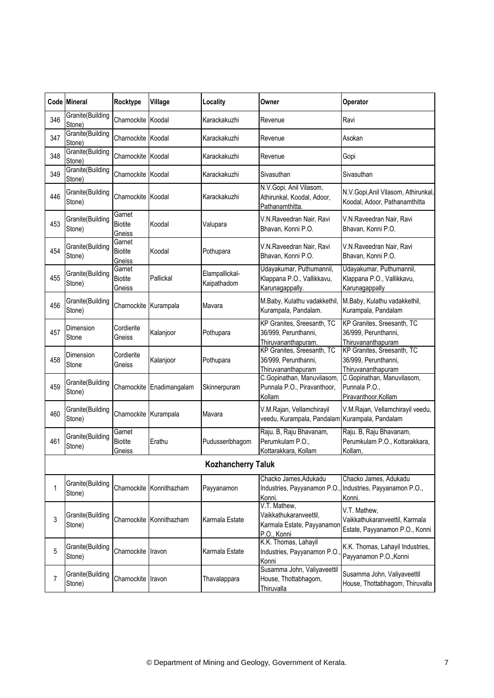|     | Code Mineral               | Rocktype                           | Village                   | Locality                      | Owner                                                                               | Operator                                                                         |
|-----|----------------------------|------------------------------------|---------------------------|-------------------------------|-------------------------------------------------------------------------------------|----------------------------------------------------------------------------------|
| 346 | Granite(Building<br>Stone) | Charnockite Koodal                 |                           | Karackakuzhi                  | Revenue                                                                             | Ravi                                                                             |
| 347 | Granite(Building<br>Stone) | Charnockite Koodal                 |                           | Karackakuzhi                  | Revenue                                                                             | Asokan                                                                           |
| 348 | Granite(Building<br>Stone) | Charnockite Koodal                 |                           | Karackakuzhi                  | Revenue                                                                             | Gopi                                                                             |
| 349 | Granite(Building<br>Stone) | Charnockite Koodal                 |                           | Karackakuzhi                  | Sivasuthan                                                                          | Sivasuthan                                                                       |
| 446 | Granite(Building<br>Stone) | Charnockite Koodal                 |                           | Karackakuzhi                  | N.V.Gopi, Anil Vilasom,<br>Athirunkal, Koodal, Adoor,<br>Pathanamthitta.            | N.V.Gopi, Anil Vilasom, Athirunkal,<br>Koodal, Adoor, Pathanamthitta             |
| 453 | Granite(Building<br>Stone) | Garnet<br><b>Biotite</b><br>Gneiss | Koodal                    | Valupara                      | V.N.Raveedran Nair, Ravi<br>Bhavan, Konni P.O.                                      | V.N.Raveedran Nair, Ravi<br>Bhavan, Konni P.O.                                   |
| 454 | Granite(Building<br>Stone) | Garnet<br><b>Biotite</b><br>Gneiss | Koodal                    | Pothupara                     | V.N.Raveedran Nair, Ravi<br>Bhavan, Konni P.O.                                      | V.N.Raveedran Nair, Ravi<br>Bhavan, Konni P.O.                                   |
| 455 | Granite(Building<br>Stone) | Garnet<br><b>Biotite</b><br>Gneiss | Pallickal                 | Elampallickal-<br>Kaipathadom | Udayakumar, Puthumannil,<br>Klappana P.O., Vallikkavu,<br>Karunagappally.           | Udayakumar, Puthumannil,<br>Klappana P.O., Vallikkavu,<br>Karunagappally         |
| 456 | Granite(Building<br>Stone) | Charnockite Kurampala              |                           | Mavara                        | M.Baby, Kulathu vadakkethil,<br>Kurampala, Pandalam.                                | M.Baby, Kulathu vadakkethil,<br>Kurampala, Pandalam                              |
| 457 | Dimension<br>Stone         | Cordierite<br>Gneiss               | Kalanjoor                 | Pothupara                     | KP Granites, Sreesanth, TC<br>36/999, Perunthanni,<br>Thiruvananthapuram.           | KP Granites, Sreesanth, TC<br>36/999, Perunthanni,<br>Thiruvananthapuram         |
| 458 | Dimension<br>Stone         | Cordierite<br>Gneiss               | Kalanjoor                 | Pothupara                     | KP Granites, Sreesanth, TC<br>36/999, Perunthanni,<br>Thiruvananthapuram            | KP Granites, Sreesanth, TC<br>36/999, Perunthanni,<br>Thiruvananthapuram         |
| 459 | Granite(Building<br>Stone) |                                    | Charnockite Enadimangalam | Skinnerpuram                  | C.Gopinathan, Manuvilasom,<br>Punnala P.O., Piravanthoor,<br>Kollam                 | C.Gopinathan, Manuvilasom,<br>Punnala P.O.,<br>Piravanthoor, Kollam              |
| 460 | Granite(Building<br>Stone) | Charnockite Kurampala              |                           | Mavara                        | V.M.Rajan, Vellamchirayil<br>veedu, Kurampala, Pandalam Kurampala, Pandalam         | V.M.Rajan, Vellamchirayil veedu,                                                 |
| 461 | Granite(Building<br>Stone) | Garnet<br><b>Biotite</b><br>Gneiss | Erathu                    | Pudusseribhagom               | Raju. B, Raju Bhavanam,<br>Perumkulam P.O.,<br>Kottarakkara, Kollam                 | Raju. B, Raju Bhavanam,<br>Perumkulam P.O., Kottarakkara,<br>Kollam,             |
|     |                            |                                    |                           | <b>Kozhancherry Taluk</b>     |                                                                                     |                                                                                  |
| 1   | Granite(Building<br>Stone) |                                    | Charnockite Konnithazham  | Payyanamon                    | Chacko James, Adukadu<br>Industries, Payyanamon P.O.<br>Konni.                      | Chacko James, Adukadu<br>Industries, Payyanamon P.O.,<br>Konni.                  |
| 3   | Granite(Building<br>Stone) |                                    | Charnockite Konnithazham  | Karmala Estate                | V.T. Mathew,<br>Vaikkathukaranveettil,<br>Karmala Estate, Payyanamon<br>P.O., Konni | V.T. Mathew,<br>Vaikkathukaranveettil, Karmala<br>Estate, Payyanamon P.O., Konni |
| 5   | Granite(Building<br>Stone) | Charnockite Iravon                 |                           | Karmala Estate                | K.K. Thomas, Lahayil<br>Industries, Payyanamon P.O<br>Konni                         | K.K. Thomas, Lahayil Industries,<br>Payyanamon P.O., Konni                       |
| 7   | Granite(Building<br>Stone) | Charnockite Iravon                 |                           | Thavalappara                  | Susamma John, Valiyaveettil<br>House, Thottabhagom,<br>Thiruvalla                   | Susamma John, Valiyaveettil<br>House, Thottabhagom, Thiruvalla                   |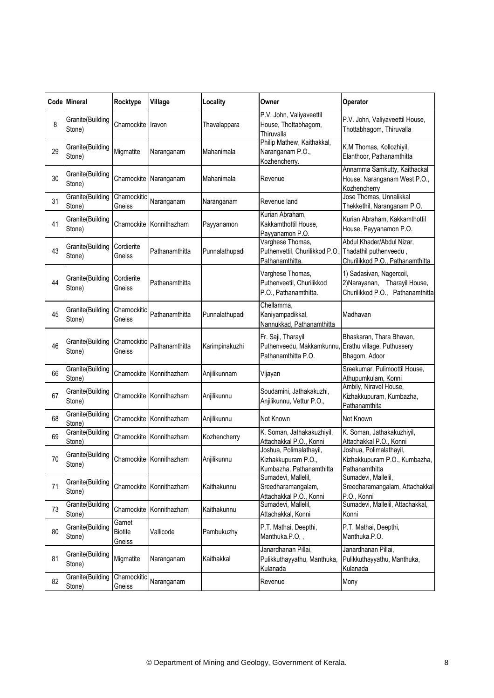|    | Code Mineral               | Rocktype                    | Village                  | Locality       | Owner                                                                                             | Operator                                                                                      |
|----|----------------------------|-----------------------------|--------------------------|----------------|---------------------------------------------------------------------------------------------------|-----------------------------------------------------------------------------------------------|
| 8  | Granite(Building<br>Stone) | Charnockite                 | Iravon                   | Thavalappara   | P.V. John, Valiyaveettil<br>House, Thottabhagom,<br>Thiruvalla                                    | P.V. John, Valiyaveettil House,<br>Thottabhagom, Thiruvalla                                   |
| 29 | Granite(Building<br>Stone) | Migmatite                   | Naranganam               | Mahanimala     | Philip Mathew, Kaithakkal,<br>Naranganam P.O.,<br>Kozhencherry.                                   | K.M Thomas, Kollozhiyil,<br>Elanthoor, Pathanamthitta                                         |
| 30 | Granite(Building<br>Stone) |                             | Charnockite Naranganam   | Mahanimala     | Revenue                                                                                           | Annamma Samkutty, Kaithackal<br>House, Naranganam West P.O.,<br>Kozhencherry                  |
| 31 | Granite(Building<br>Stone) | Charnockitic<br>Gneiss      | Naranganam               | Naranganam     | Revenue land                                                                                      | Jose Thomas, Unnalikkal<br>Thekkethil, Naranganam P.O.                                        |
| 41 | Granite(Building<br>Stone) |                             | Charnockite Konnithazham | Payyanamon     | Kurian Abraham,<br>Kakkamthottil House,<br>Payyanamon P.O.                                        | Kurian Abraham, Kakkamthottil<br>House, Payyanamon P.O.                                       |
| 43 | Granite(Building<br>Stone) | Cordierite<br>Gneiss        | Pathanamthitta           | Punnalathupadi | Varghese Thomas,<br>Puthenvettil, Churilikkod P.O<br>Pathanamthitta.                              | Abdul Khader/Abdul Nizar,<br>Thadathil puthenveedu,<br>Churilikkod P.O., Pathanamthitta       |
| 44 | Granite(Building<br>Stone) | Cordierite<br>Gneiss        | Pathanamthitta           |                | Varghese Thomas,<br>Puthenveetil, Churilikkod<br>P.O., Pathanamthitta.                            | 1) Sadasivan, Nagercoil,<br>2) Narayanan, Tharayil House,<br>Churilikkod P.O., Pathanamthitta |
| 45 | Granite(Building<br>Stone) | Charnockitic<br>Gneiss      | Pathanamthitta           | Punnalathupadi | Chellamma,<br>Kaniyampadikkal,<br>Nannukkad, Pathanamthitta                                       | Madhavan                                                                                      |
| 46 | Granite(Building<br>Stone) | Charnockitic<br>Gneiss      | Pathanamthitta           | Karimpinakuzhi | Fr. Saji, Tharayil<br>Puthenveedu, Makkamkunnu, Erathu village, Puthussery<br>Pathanamthitta P.O. | Bhaskaran, Thara Bhavan,<br>Bhagom, Adoor                                                     |
| 66 | Granite(Building<br>Stone) |                             | Charnockite Konnithazham | Anjilikunnam   | Vijayan                                                                                           | Sreekumar, Pulimoottil House,<br>Athupumkulam, Konni                                          |
| 67 | Granite(Building<br>Stone) |                             | Charnockite Konnithazham | Anjilikunnu    | Soudamini, Jathakakuzhi,<br>Anjilikunnu, Vettur P.O.,                                             | Ambily, Niravel House,<br>Kizhakkupuram, Kumbazha,<br>Pathanamthita                           |
| 68 | Granite(Building<br>Stone) | Charnockite                 | Konnithazham             | Anjilikunnu    | Not Known                                                                                         | Not Known                                                                                     |
| 69 | Granite(Building<br>Stone) |                             | Charnockite Konnithazham | Kozhencherry   | K. Soman, Jathakakuzhiyil,<br>Attachakkal P.O., Konni                                             | K. Soman, Jathakakuzhiyil,<br>Attachakkal P.O., Konni                                         |
| 70 | Granite(Building<br>Stone) |                             | Charnockite Konnithazham | Anjilikunnu    | Joshua, Polimalathayil,<br>Kizhakkupuram P.O.,<br>Kumbazha, Pathanamthitta                        | Joshua, Polimalathayil,<br>Kizhakkupuram P.O., Kumbazha,<br>Pathanamthitta                    |
| 71 | Granite(Building<br>Stone) | Charnockite                 | Konnithazham             | Kaithakunnu    | Sumadevi, Mallelil,<br>Sreedharamangalam,<br>Attachakkal P.O., Konni                              | Sumadevi, Mallelil,<br>Sreedharamangalam, Attachakkal<br>P.O., Konni                          |
| 73 | Granite(Building<br>Stone) | Charnockite                 | Konnithazham             | Kaithakunnu    | Sumadevi, Mallelil,<br>Attachakkal, Konni                                                         | Sumadevi, Mallelil, Attachakkal,<br>Konni                                                     |
| 80 | Granite(Building<br>Stone) | Garnet<br>Biotite<br>Gneiss | Vallicode                | Pambukuzhy     | P.T. Mathai, Deepthi,<br>Manthuka.P.O,,                                                           | P.T. Mathai, Deepthi,<br>Manthuka.P.O.                                                        |
| 81 | Granite(Building<br>Stone) | Migmatite                   | Naranganam               | Kaithakkal     | Janardhanan Pillai,<br>Pulikkuthayyathu, Manthuka,<br>Kulanada                                    | Janardhanan Pillai,<br>Pulikkuthayyathu, Manthuka,<br>Kulanada                                |
| 82 | Granite(Building<br>Stone) | Charnockitic<br>Gneiss      | Naranganam               |                | Revenue                                                                                           | Mony                                                                                          |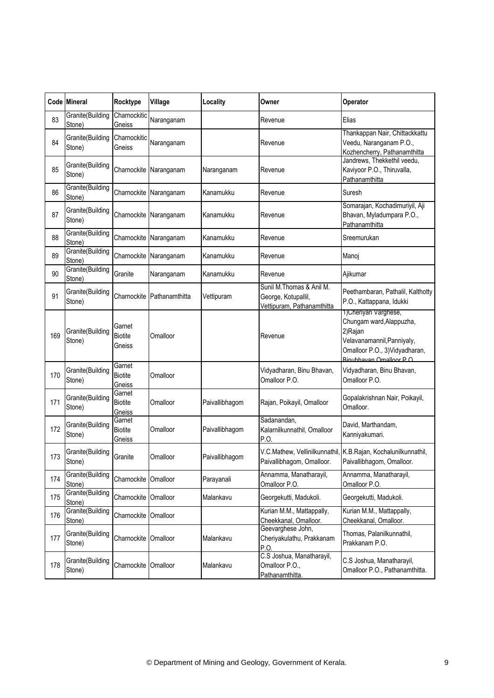|     | Code Mineral               | Rocktype                           | Village                | Locality       | Owner                                                                         | Operator                                                                                                                                                |
|-----|----------------------------|------------------------------------|------------------------|----------------|-------------------------------------------------------------------------------|---------------------------------------------------------------------------------------------------------------------------------------------------------|
| 83  | Granite(Building<br>Stone) | Charnockitic<br>Gneiss             | Naranganam             |                | Revenue                                                                       | Elias                                                                                                                                                   |
| 84  | Granite(Building<br>Stone) | Charnockitic<br>Gneiss             | Naranganam             |                | Revenue                                                                       | Thankappan Nair, Chittackkattu<br>Veedu, Naranganam P.O.,<br>Kozhencherry, Pathanamthitta                                                               |
| 85  | Granite(Building<br>Stone) |                                    | Charnockite Naranganam | Naranganam     | Revenue                                                                       | Jandrews, Thekkethil veedu,<br>Kaviyoor P.O., Thiruvalla,<br>Pathanamthitta                                                                             |
| 86  | Granite(Building<br>Stone) | Charnockite                        | Naranganam             | Kanamukku      | Revenue                                                                       | Suresh                                                                                                                                                  |
| 87  | Granite(Building<br>Stone) | Charnockite                        | Naranganam             | Kanamukku      | Revenue                                                                       | Somarajan, Kochadimuriyil, Aji<br>Bhavan, Myladumpara P.O.,<br>Pathanamthitta                                                                           |
| 88  | Granite(Building<br>Stone) | Charnockite                        | Naranganam             | Kanamukku      | Revenue                                                                       | Sreemurukan                                                                                                                                             |
| 89  | Granite(Building<br>Stone) | Charnockite                        | Naranganam             | Kanamukku      | Revenue                                                                       | Manoj                                                                                                                                                   |
| 90  | Granite(Building<br>Stone) | Granite                            | Naranganam             | Kanamukku      | Revenue                                                                       | Ajikumar                                                                                                                                                |
| 91  | Granite(Building<br>Stone) | Charnockite                        | Pathanamthitta         | Vettipuram     | Sunil M.Thomas & Anil M.<br>George, Kotupallil,<br>Vettipuram, Pathanamthitta | Peethambaran, Pathalil, Kalthotty<br>P.O., Kattappana, Idukki                                                                                           |
| 169 | Granite(Building<br>Stone) | Garnet<br><b>Biotite</b><br>Gneiss | Omalloor               |                | Revenue                                                                       | 1) Cheriyan Varghese,<br>Chungam ward, Alappuzha,<br>2)Rajan<br>Velavanamannil, Panniyaly,<br>Omalloor P.O., 3) Vidyadharan,<br>Rinubhayan Omalloor P O |
| 170 | Granite(Building<br>Stone) | Garnet<br><b>Biotite</b><br>Gneiss | Omalloor               |                | Vidyadharan, Binu Bhavan,<br>Omalloor P.O.                                    | Vidyadharan, Binu Bhavan,<br>Omalloor P.O.                                                                                                              |
| 171 | Granite(Building<br>Stone) | Garnet<br><b>Biotite</b><br>Gneiss | Omalloor               | Paivallibhagom | Rajan, Poikayil, Omalloor                                                     | Gopalakrishnan Nair, Poikayil,<br>Omalloor.                                                                                                             |
| 172 | Granite(Building<br>Stone) | Garnet<br><b>Biotite</b><br>Gneiss | Omalloor               | Paivallibhagom | Sadanandan,<br>Kalarnilkunnathil, Omalloor<br>P.O.                            | David, Marthandam,<br>Kanniyakumari.                                                                                                                    |
| 173 | Granite(Building<br>Stone) | Granite                            | Omalloor               | Paivallibhagom | Paivallibhagom, Omalloor.                                                     | V.C.Mathew, Vellinilkunnathil, K.B.Rajan, Kochalunilkunnathil,<br>Paivallibhagom, Omalloor.                                                             |
| 174 | Granite(Building<br>Stone) | Charnockite                        | Omalloor               | Parayanali     | Annamma, Manatharayil,<br>Omalloor P.O.                                       | Annamma, Manatharayil,<br>Omalloor P.O.                                                                                                                 |
| 175 | Granite(Building<br>Stone) | Charnockite Omalloor               |                        | Malankavu      | Georgekutti, Madukoli.                                                        | Georgekutti, Madukoli.                                                                                                                                  |
| 176 | Granite(Building<br>Stone) | Charnockite                        | Omalloor               |                | Kurian M.M., Mattappally,<br>Cheekkanal, Omalloor.                            | Kurian M.M., Mattappally,<br>Cheekkanal, Omalloor.                                                                                                      |
| 177 | Granite(Building<br>Stone) | Charnockite                        | Omalloor               | Malankavu      | Geevarghese John,<br>Cheriyakulathu, Prakkanam<br>P.O.                        | Thomas, Palanilkunnathil,<br>Prakkanam P.O.                                                                                                             |
| 178 | Granite(Building<br>Stone) | Charnockite                        | Omalloor               | Malankavu      | C.S Joshua, Manatharayil,<br>Omalloor P.O.,<br>Pathanamthitta.                | C.S Joshua, Manatharayil,<br>Omalloor P.O., Pathanamthitta.                                                                                             |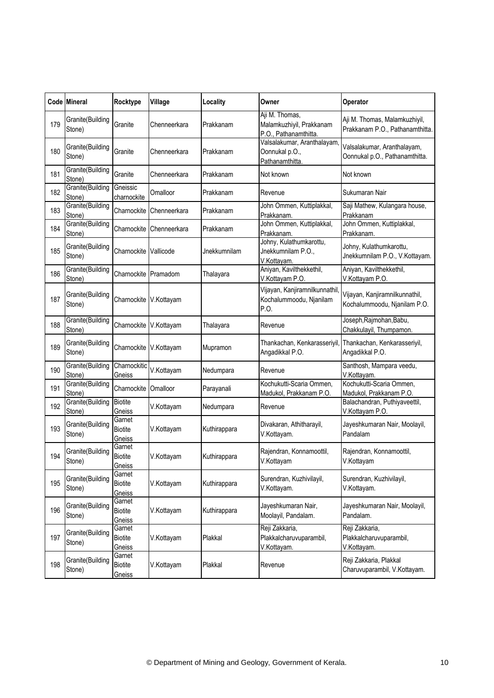|     | <b>Code Mineral</b>        | Rocktype                                  | Village      | Locality     | Owner                                                               | Operator                                                         |
|-----|----------------------------|-------------------------------------------|--------------|--------------|---------------------------------------------------------------------|------------------------------------------------------------------|
| 179 | Granite(Building<br>Stone) | Granite                                   | Chenneerkara | Prakkanam    | Aji M. Thomas,<br>Malamkuzhiyil, Prakkanam<br>P.O., Pathanamthitta. | Aji M. Thomas, Malamkuzhiyil,<br>Prakkanam P.O., Pathanamthitta. |
| 180 | Granite(Building<br>Stone) | Granite                                   | Chenneerkara | Prakkanam    | Valsalakumar, Aranthalayam<br>Oonnukal p.O.,<br>Pathanamthitta      | Valsalakumar, Aranthalayam,<br>Oonnukal p.O., Pathanamthitta.    |
| 181 | Granite(Building<br>Stone) | Granite                                   | Chenneerkara | Prakkanam    | Not known                                                           | Not known                                                        |
| 182 | Granite(Building<br>Stone) | Gneissic<br>charnockite                   | Omalloor     | Prakkanam    | Revenue                                                             | Sukumaran Nair                                                   |
| 183 | Granite(Building<br>Stone) | Charnockite                               | Chenneerkara | Prakkanam    | John Ommen, Kuttiplakkal,<br>Prakkanam.                             | Saji Mathew, Kulangara house,<br>Prakkanam                       |
| 184 | Granite(Building<br>Stone) | Charnockite                               | Chenneerkara | Prakkanam    | John Ommen, Kuttiplakkal,<br>Prakkanam.                             | John Ommen, Kuttiplakkal,<br>Prakkanam.                          |
| 185 | Granite(Building<br>Stone) | Charnockite                               | Vallicode    | Jnekkumnilam | Johny, Kulathumkarottu,<br>Jnekkumnilam P.O.,<br>V.Kottayam.        | Johny, Kulathumkarottu,<br>Jnekkumnilam P.O., V.Kottayam.        |
| 186 | Granite(Building<br>Stone) | Charnockite Pramadom                      |              | Thalayara    | Aniyan, Kavilthekkethil,<br>V.Kottayam P.O.                         | Aniyan, Kavilthekkethil,<br>V.Kottayam P.O.                      |
| 187 | Granite(Building<br>Stone) | Charnockite                               | V.Kottayam   |              | Vijayan, Kanjiramnilkunnathil<br>Kochalummoodu, Njanilam<br>P.O.    | Vijayan, Kanjiramnilkunnathil,<br>Kochalummoodu, Njanilam P.O.   |
| 188 | Granite(Building<br>Stone) | Charnockite                               | V.Kottayam   | Thalayara    | Revenue                                                             | Joseph, Rajmohan, Babu,<br>Chakkulayil, Thumpamon.               |
| 189 | Granite(Building<br>Stone) | Charnockite                               | V.Kottayam   | Mupramon     | Thankachan, Kenkarasseriyil,<br>Angadikkal P.O.                     | Thankachan, Kenkarasseriyil,<br>Angadikkal P.O.                  |
| 190 | Granite(Building<br>Stone) | Charnockitic<br>Gneiss                    | V.Kottayam   | Nedumpara    | Revenue                                                             | Santhosh, Mampara veedu,<br>V.Kottayam.                          |
| 191 | Granite(Building<br>Stone) | Charnockite                               | Omalloor     | Parayanali   | Kochukutti-Scaria Ommen,<br>Madukol, Prakkanam P.O.                 | Kochukutti-Scaria Ommen,<br>Madukol, Prakkanam P.O.              |
| 192 | Granite(Building<br>Stone) | <b>Biotite</b><br>Gneiss                  | V.Kottayam   | Nedumpara    | Revenue                                                             | Balachandran, Puthiyaveettil,<br>V.Kottayam P.O.                 |
| 193 | Granite(Building<br>Stone) | Garnet<br><b>Biotite</b><br>Gneiss        | V.Kottayam   | Kuthirappara | Divakaran, Athitharayil,<br>V.Kottayam.                             | Jayeshkumaran Nair, Moolayil,<br>Pandalam                        |
| 194 | Granite(Building<br>Stone) | Garnet<br><b>Biotite</b><br>Gneiss        | V.Kottayam   | Kuthirappara | Rajendran, Konnamoottil,<br>V.Kottayam                              | Rajendran, Konnamoottil,<br>V.Kottayam                           |
| 195 | Granite(Building<br>Stone) | Garnet<br><b>Biotite</b><br>Gneiss        | V.Kottayam   | Kuthirappara | Surendran, Kuzhivilayil,<br>V.Kottayam.                             | Surendran, Kuzhivilayil,<br>V.Kottayam.                          |
| 196 | Granite(Building<br>Stone) | Garnet<br><b>Biotite</b><br>Gneiss        | V.Kottayam   | Kuthirappara | Jayeshkumaran Nair,<br>Moolayil, Pandalam.                          | Jayeshkumaran Nair, Moolayil,<br>Pandalam.                       |
| 197 | Granite(Building<br>Stone) | Garnet<br><b>Biotite</b><br>Gneiss        | V.Kottayam   | Plakkal      | Reji Zakkaria,<br>Plakkalcharuvuparambil,<br>V.Kottayam.            | Reji Zakkaria,<br>Plakkalcharuvuparambil,<br>V.Kottayam.         |
| 198 | Granite(Building<br>Stone) | Garnet<br><b>Biotite</b><br><u>Gneiss</u> | V.Kottayam   | Plakkal      | Revenue                                                             | Reji Zakkaria, Plakkal<br>Charuvuparambil, V.Kottayam.           |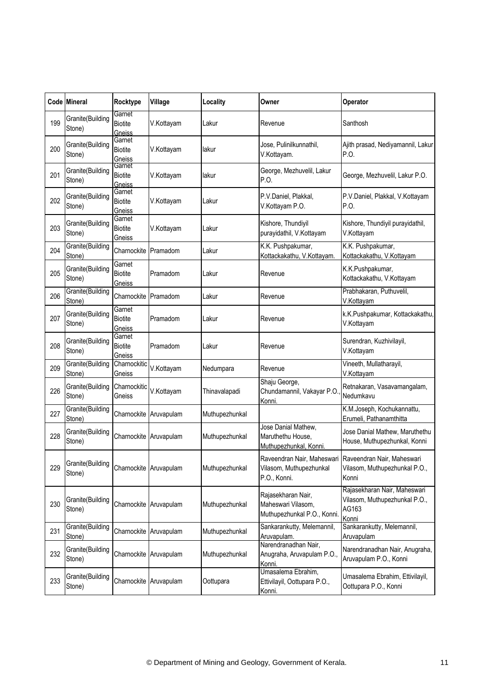|     | Code Mineral               | Rocktype                           | Village                | Locality       | Owner                                                                                            | Operator                                                                        |
|-----|----------------------------|------------------------------------|------------------------|----------------|--------------------------------------------------------------------------------------------------|---------------------------------------------------------------------------------|
| 199 | Granite(Building<br>Stone) | Garnet<br><b>Biotite</b><br>Gneiss | V.Kottayam             | Lakur          | Revenue                                                                                          | Santhosh                                                                        |
| 200 | Granite(Building<br>Stone) | Garnet<br><b>Biotite</b><br>Gneiss | V.Kottayam             | lakur          | Jose, Pulinilkunnathil,<br>V.Kottayam.                                                           | Ajith prasad, Nediyamannil, Lakur<br>P.O.                                       |
| 201 | Granite(Building<br>Stone) | Garnet<br><b>Biotite</b><br>Gneiss | V.Kottayam             | lakur          | George, Mezhuvelil, Lakur<br>P.O.                                                                | George, Mezhuvelil, Lakur P.O.                                                  |
| 202 | Granite(Building<br>Stone) | Garnet<br><b>Biotite</b><br>Gneiss | V.Kottayam             | Lakur          | P.V.Daniel, Plakkal,<br>V.Kottayam P.O.                                                          | P.V.Daniel, Plakkal, V.Kottayam<br>P.O.                                         |
| 203 | Granite(Building<br>Stone) | Garnet<br><b>Biotite</b><br>Gneiss | V.Kottayam             | Lakur          | Kishore, Thundiyil<br>purayidathil, V.Kottayam                                                   | Kishore, Thundiyil purayidathil,<br>V.Kottayam                                  |
| 204 | Granite(Building<br>Stone) | Charnockite                        | Pramadom               | Lakur          | K.K. Pushpakumar,<br>Kottackakathu, V.Kottayam.                                                  | K.K. Pushpakumar,<br>Kottackakathu, V.Kottayam                                  |
| 205 | Granite(Building<br>Stone) | Garnet<br><b>Biotite</b><br>Gneiss | Pramadom               | Lakur          | Revenue                                                                                          | K.K.Pushpakumar,<br>Kottackakathu, V.Kottayam                                   |
| 206 | Granite(Building<br>Stone) | Charnockite                        | Pramadom               | Lakur          | Revenue                                                                                          | Prabhakaran, Puthuvelil,<br>V.Kottayam                                          |
| 207 | Granite(Building<br>Stone) | Garnet<br><b>Biotite</b><br>Gneiss | Pramadom               | Lakur          | Revenue                                                                                          | k.K.Pushpakumar, Kottackakathu,<br>V.Kottayam                                   |
| 208 | Granite(Building<br>Stone) | Garnet<br><b>Biotite</b><br>Gneiss | Pramadom               | Lakur          | Revenue                                                                                          | Surendran, Kuzhivilayil,<br>V.Kottayam                                          |
| 209 | Granite(Building<br>Stone) | Charnockitic<br>Gneiss             | V.Kottayam             | Nedumpara      | Revenue                                                                                          | Vineeth, Mullatharayil,<br>V.Kottayam                                           |
| 226 | Granite(Building<br>Stone) | Charnockitic<br>Gneiss             | V.Kottayam             | Thinavalapadi  | Shaju George,<br>Chundamannil, Vakayar P.O<br>Konni.                                             | Retnakaran, Vasavamangalam,<br>Nedumkavu                                        |
| 227 | Granite(Building<br>Stone) |                                    | Charnockite Aruvapulam | Muthupezhunkal |                                                                                                  | K.M.Joseph, Kochukannattu,<br>Erumeli, Pathanamthitta                           |
| 228 | Granite(Building<br>Stone) |                                    | Charnockite Aruvapulam | Muthupezhunkal | Jose Danial Mathew,<br>Maruthethu House,<br>Muthupezhunkal, Konni.                               | Jose Danial Mathew, Maruthethu<br>House, Muthupezhunkal, Konni                  |
| 229 | Granite(Building<br>Stone) |                                    | Charnockite Aruvapulam | Muthupezhunkal | Raveendran Nair, Maheswari Raveendran Nair, Maheswari<br>Vilasom, Muthupezhunkal<br>P.O., Konni. | Vilasom, Muthupezhunkal P.O.,<br>Konni                                          |
| 230 | Granite(Building<br>Stone) |                                    | Charnockite Aruvapulam | Muthupezhunkal | Rajasekharan Nair,<br>Maheswari Vilasom,<br>Muthupezhunkal P.O., Konni.                          | Rajasekharan Nair, Maheswari<br>Vilasom, Muthupezhunkal P.O.,<br>AG163<br>Konni |
| 231 | Granite(Building<br>Stone) |                                    | Charnockite Aruvapulam | Muthupezhunkal | Sankarankutty, Melemannil,<br>Aruvapulam.                                                        | Sankarankutty, Melemannil,<br>Aruvapulam                                        |
| 232 | Granite(Building<br>Stone) |                                    | Charnockite Aruvapulam | Muthupezhunkal | Narendranadhan Nair,<br>Anugraha, Aruvapulam P.O.,<br>Konni.                                     | Narendranadhan Nair, Anugraha,<br>Aruvapulam P.O., Konni                        |
| 233 | Granite(Building<br>Stone) |                                    | Charnockite Aruvapulam | Oottupara      | Umasalema Ebrahim,<br>Ettivilayil, Oottupara P.O.,<br>Konni.                                     | Umasalema Ebrahim, Ettivilayil,<br>Oottupara P.O., Konni                        |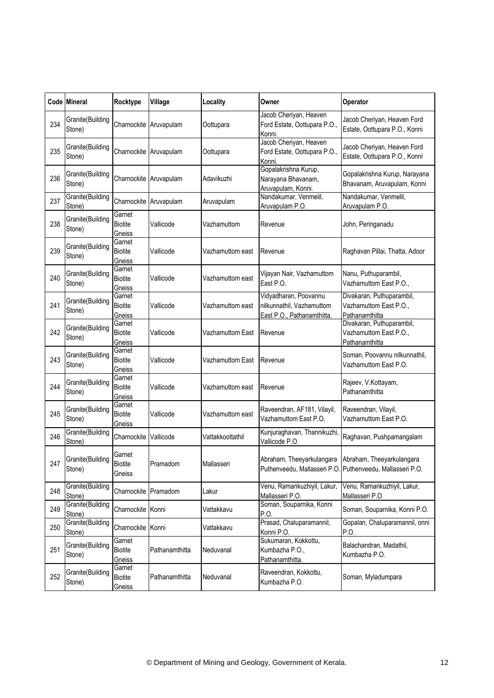|     | <b>Code Mineral</b>        | Rocktype                           | Village                | Locality         | Owner                                                                            | Operator                                                                               |
|-----|----------------------------|------------------------------------|------------------------|------------------|----------------------------------------------------------------------------------|----------------------------------------------------------------------------------------|
| 234 | Granite(Building<br>Stone) |                                    | Charnockite Aruvapulam | Oottupara        | Jacob Cheriyan, Heaven<br>Ford Estate, Oottupara P.O.,<br>Konni.                 | Jacob Cheriyan, Heaven Ford<br>Estate, Oottupara P.O., Konni                           |
| 235 | Granite(Building<br>Stone) |                                    | Charnockite Aruvapulam | Oottupara        | Jacob Cheriyan, Heaven<br>Ford Estate, Oottupara P.O.,<br>Konni.                 | Jacob Cheriyan, Heaven Ford<br>Estate, Oottupara P.O., Konni                           |
| 236 | Granite(Building<br>Stone) |                                    | Charnockite Aruvapulam | Adavikuzhi       | Gopalakrishna Kurup,<br>Narayana Bhavanam,<br>Aruvapulam, Konni.                 | Gopalakrishna Kurup, Narayana<br>Bhavanam, Aruvapulam, Konni                           |
| 237 | Granite(Building<br>Stone) | Charnockite                        | Aruvapulam             | Aruvapulam       | Nandakumar, Venmelil,<br>Aruvapulam P.O.                                         | Nandakumar, Venmelil,<br>Aruvapulam P.O.                                               |
| 238 | Granite(Building<br>Stone) | Garnet<br><b>Biotite</b><br>Gneiss | Vallicode              | Vazhamuttom      | Revenue                                                                          | John, Peringanadu                                                                      |
| 239 | Granite(Building<br>Stone) | Garnet<br><b>Biotite</b><br>Gneiss | Vallicode              | Vazhamuttom east | Revenue                                                                          | Raghavan Pillai, Thatta, Adoor                                                         |
| 240 | Granite(Building<br>Stone) | Garnet<br><b>Biotite</b><br>Gneiss | Vallicode              | Vazhamuttom east | Vijayan Nair, Vazhamuttom<br>East P.O.                                           | Nanu, Puthuparambil,<br>Vazhamuttom East P.O.,                                         |
| 241 | Granite(Building<br>Stone) | Garnet<br><b>Biotite</b><br>Gneiss | Vallicode              | Vazhamuttom east | Vidyadharan, Poovannu<br>nilkunnathil, Vazhamuttom<br>East P.O., Pathanamthitta. | Divakaran, Puthuparambil,<br>Vazhamuttom East P.O.,<br>Pathanamthitta                  |
| 242 | Granite(Building<br>Stone) | Garnet<br><b>Biotite</b><br>Gneiss | Vallicode              | Vazhamuttom East | Revenue                                                                          | Divakaran, Puthuparambil,<br>Vazhamuttom East P.O.,<br>Pathanamthitta                  |
| 243 | Granite(Building<br>Stone) | Garnet<br><b>Biotite</b><br>Gneiss | Vallicode              | Vazhamuttom East | Revenue                                                                          | Soman, Poovannu nilkunnathil,<br>Vazhamuttom East P.O.                                 |
| 244 | Granite(Building<br>Stone) | Garnet<br><b>Biotite</b><br>Gneiss | Vallicode              | Vazhamuttom east | Revenue                                                                          | Rajeev, V.Kottayam,<br>Pathanamthitta                                                  |
| 245 | Granite(Building<br>Stone) | Garnet<br><b>Biotite</b><br>Gneiss | Vallicode              | Vazhamuttom east | Raveendran, AF181, Vilayil,<br>Vazhamuttom East P.O.                             | Raveendran, Vilayil,<br>Vazhamuttom East P.O.                                          |
| 246 | Granite(Building<br>Stone) | Charnockite                        | Vallicode              | Vattakkoottathil | Kunjuraghavan, Thannikuzhi,<br>Vallicode P.O.                                    | Raghavan, Pushpamangalam                                                               |
| 247 | Granite(Building<br>Stone) | Garnet<br>Biotite<br>Gneiss        | Pramadom               | Mallasseri       | Abraham, Theeyarkulangara                                                        | Abraham, Theeyarkulangara<br>Puthenveedu, Mallasseri P.O. Puthenveedu, Mallasseri P.O. |
| 248 | Granite(Building<br>Stone) | Charnockite Pramadom               |                        | Lakur            | Venu, Ramankuzhiyil, Lakur,<br>Mallasseri P.O.                                   | Venu, Ramankuzhiyil, Lakur,<br>Mallasseri P.O                                          |
| 249 | Granite(Building<br>Stone) | Charnockite Konni                  |                        | Vattakkavu       | Soman, Souparnika, Konni<br>P.O.                                                 | Soman, Souparnika, Konni P.O.                                                          |
| 250 | Granite(Building<br>Stone) | Charnockite Konni                  |                        | Vattakkavu       | Prasad, Chaluparamannil,<br>Konni P.O.                                           | Gopalan, Chaluparamannil, onni<br>P.O.                                                 |
| 251 | Granite(Building<br>Stone) | Garnet<br><b>Biotite</b><br>Gneiss | Pathanamthitta         | Neduvanal        | Sukumaran, Kokkottu,<br>Kumbazha P.O.,<br>Pathanamthitta                         | Balachandran, Madathil,<br>Kumbazha P.O.                                               |
| 252 | Granite(Building<br>Stone) | Garnet<br><b>Biotite</b><br>Gneiss | Pathanamthitta         | Neduvanal        | Raveendran, Kokkottu,<br>Kumbazha P.O.                                           | Soman, Myladumpara                                                                     |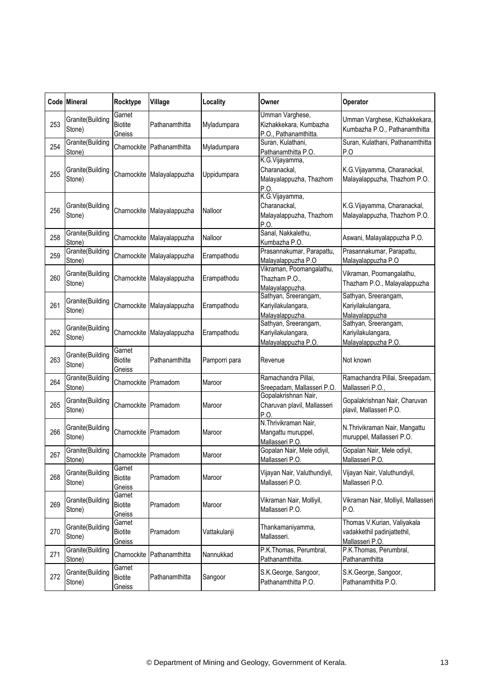|     | Code Mineral               | Rocktype                           | Village                    | Locality      | Owner                                                              | Operator                                                                      |
|-----|----------------------------|------------------------------------|----------------------------|---------------|--------------------------------------------------------------------|-------------------------------------------------------------------------------|
| 253 | Granite(Building<br>Stone) | Garnet<br><b>Biotite</b><br>Gneiss | Pathanamthitta             | Myladumpara   | Umman Varghese,<br>Kizhakkekara, Kumbazha<br>P.O., Pathanamthitta. | Umman Varghese, Kizhakkekara,<br>Kumbazha P.O., Pathanamthitta                |
| 254 | Granite(Building<br>Stone) | Charnockite                        | Pathanamthitta             | Myladumpara   | Suran, Kulathani,<br>Pathanamthitta P.O.                           | Suran, Kulathani, Pathanamthitta<br>P.O                                       |
| 255 | Granite(Building<br>Stone) | Charnockite                        | Malayalappuzha             | Uppidumpara   | K.G.Vijayamma,<br>Charanackal,<br>Malayalappuzha, Thazhom<br>P.O   | K.G.Vijayamma, Charanackal,<br>Malayalappuzha, Thazhom P.O.                   |
| 256 | Granite(Building<br>Stone) | Charnockite                        | Malayalappuzha             | Nalloor       | K.G.Vijayamma,<br>Charanackal,<br>Malayalappuzha, Thazhom<br>P.O.  | K.G.Vijayamma, Charanackal,<br>Malayalappuzha, Thazhom P.O.                   |
| 258 | Granite(Building<br>Stone) |                                    | Charnockite Malayalappuzha | Nalloor       | Sanal, Nakkalethu,<br>Kumbazha P.O.                                | Aswani, Malayalappuzha P.O.                                                   |
| 259 | Granite(Building<br>Stone) | Charnockite                        | Malayalappuzha             | Erampathodu   | Prasannakumar, Parapattu,<br>Malayalappuzha P.O                    | Prasannakumar, Parapattu,<br>Malayalappuzha P.O                               |
| 260 | Granite(Building<br>Stone) | Charnockite                        | Malayalappuzha             | Erampathodu   | Vikraman, Poomangalathu,<br>Thazham P.O.,<br>Malayalappuzha.       | Vikraman, Poomangalathu,<br>Thazham P.O., Malayalappuzha                      |
| 261 | Granite(Building<br>Stone) | Charnockite                        | Malayalappuzha             | Erampathodu   | Sathyan, Sreerangam,<br>Kariyilakulangara,<br>Malayalappuzha.      | Sathyan, Sreerangam,<br>Kariyilakulangara,<br>Malayalappuzha                  |
| 262 | Granite(Building<br>Stone) |                                    | Charnockite Malayalappuzha | Erampathodu   | Sathyan, Sreerangam,<br>Kariyilakulangara,<br>Malayalappuzha P.O.  | Sathyan, Sreerangam,<br>Kariyilakulangara,<br>Malayalappuzha P.O.             |
| 263 | Granite(Building<br>Stone) | Garnet<br><b>Biotite</b><br>Gneiss | Pathanamthitta             | Pamporri para | Revenue                                                            | Not known                                                                     |
| 264 | Granite(Building<br>Stone) | Charnockite Pramadom               |                            | Maroor        | Ramachandra Pillai,<br>Sreepadam, Mallasseri P.O.                  | Ramachandra Pillai, Sreepadam,<br>Mallasseri P.O.                             |
| 265 | Granite(Building<br>Stone) | Charnockite                        | Pramadom                   | Maroor        | Gopalakrishnan Nair,<br>Charuvan plavil, Mallasseri<br>P.O         | Gopalakrishnan Nair, Charuvan<br>plavil, Mallasseri P.O.                      |
| 266 | Granite(Building<br>Stone) | Charnockite Pramadom               |                            | Maroor        | N.Thrivikraman Nair,<br>Mangattu muruppel,<br>Mallasseri P.O.      | N. Thrivikraman Nair, Mangattu<br>muruppel, Mallasseri P.O.                   |
| 267 | Granite(Building<br>Stone) | Charnockite Pramadom               |                            | Maroor        | Gopalan Nair, Mele odiyil,<br>Mallasseri P.O.                      | Gopalan Nair, Mele odiyil,<br>Mallasseri P.O.                                 |
| 268 | Granite(Building<br>Stone) | Garnet<br><b>Biotite</b><br>Gneiss | Pramadom                   | Maroor        | Vijayan Nair, Valuthundiyil,<br>Mallasseri P.O.                    | Vijayan Nair, Valuthundiyil,<br>Mallasseri P.O.                               |
| 269 | Granite(Building<br>Stone) | Garnet<br><b>Biotite</b><br>Gneiss | Pramadom                   | Maroor        | Vikraman Nair, Molliyil,<br>Mallasseri P.O.                        | Vikraman Nair, Molliyil, Mallasseri<br>P.O.                                   |
| 270 | Granite(Building<br>Stone) | Garnet<br><b>Biotite</b><br>Gneiss | Pramadom                   | Vattakulanji  | Thankamaniyamma,<br>Mallasseri.                                    | Thomas V.Kurian, Valiyakala<br>vadakkethil padinjattethil,<br>Mallasseri P.O. |
| 271 | Granite(Building<br>Stone) | Charnockite                        | Pathanamthitta             | Nannukkad     | P.K.Thomas, Perumbral,<br>Pathanamthitta.                          | P.K.Thomas, Perumbral,<br>Pathanamthitta                                      |
| 272 | Granite(Building<br>Stone) | Garnet<br><b>Biotite</b><br>Gneiss | Pathanamthitta             | Sangoor       | S.K.George, Sangoor,<br>Pathanamthitta P.O.                        | S.K.George, Sangoor,<br>Pathanamthitta P.O.                                   |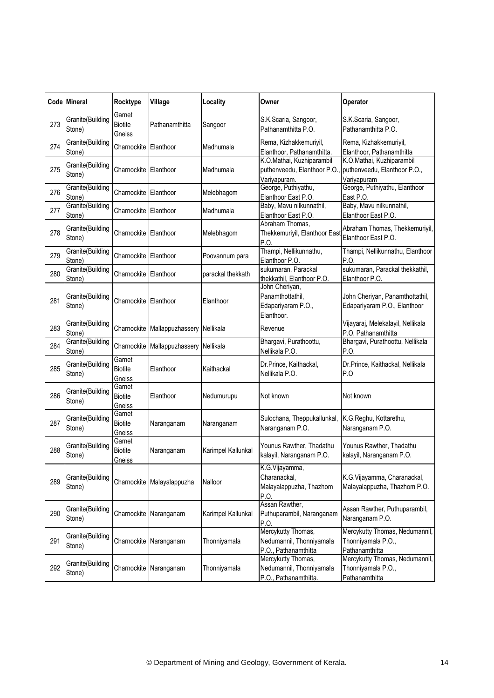|     | Code Mineral               | Rocktype                           | Village                    | Locality           | Owner                                                                    | Operator                                                                 |
|-----|----------------------------|------------------------------------|----------------------------|--------------------|--------------------------------------------------------------------------|--------------------------------------------------------------------------|
| 273 | Granite(Building<br>Stone) | Garnet<br><b>Biotite</b><br>Gneiss | Pathanamthitta             | Sangoor            | S.K.Scaria, Sangoor,<br>Pathanamthitta P.O.                              | S.K.Scaria, Sangoor,<br>Pathanamthitta P.O.                              |
| 274 | Granite(Building<br>Stone) | Charnockite                        | Elanthoor                  | Madhumala          | Rema, Kizhakkemuriyil,<br>Elanthoor, Pathanamthitta.                     | Rema, Kizhakkemuriyil,<br>Elanthoor, Pathanamthitta                      |
| 275 | Granite(Building<br>Stone) | Charnockite Elanthoor              |                            | Madhumala          | K.O.Mathai, Kuzhiparambil<br>puthenveedu, Elanthoor P.O.<br>Variyapuram. | K.O.Mathai, Kuzhiparambil<br>puthenveedu, Elanthoor P.O.,<br>Variyapuram |
| 276 | Granite(Building<br>Stone) | Charnockite                        | Elanthoor                  | Melebhagom         | George, Puthiyathu,<br>Elanthoor East P.O.                               | George, Puthiyathu, Elanthoor<br>East P.O.                               |
| 277 | Granite(Building<br>Stone) | Charnockite                        | Elanthoor                  | Madhumala          | Baby, Mavu nilkunnathil,<br>Elanthoor East P.O.                          | Baby, Mavu nilkunnathil,<br>Elanthoor East P.O.                          |
| 278 | Granite(Building<br>Stone) | Charnockite                        | Elanthoor                  | Melebhagom         | Abraham Thomas,<br>Thekkemuriyil, Elanthoor East<br>P.O.                 | Abraham Thomas, Thekkemuriyil,<br>Elanthoor East P.O.                    |
| 279 | Granite(Building<br>Stone) | Charnockite                        | Elanthoor                  | Poovannum para     | Thampi, Nellikunnathu,<br>Elanthoor P.O.                                 | Thampi, Nellikunnathu, Elanthoor<br>P.O.                                 |
| 280 | Granite(Building<br>Stone) | Charnockite Elanthoor              |                            | parackal thekkath  | sukumaran, Parackal<br>thekkathil, Elanthoor P.O.                        | sukumaran, Parackal thekkathil,<br>Elanthoor P.O.                        |
| 281 | Granite(Building<br>Stone) | Charnockite                        | Elanthoor                  | Elanthoor          | John Cheriyan,<br>Panamthottathil,<br>Edapariyaram P.O.,<br>Elanthoor.   | John Cheriyan, Panamthottathil,<br>Edapariyaram P.O., Elanthoor          |
| 283 | Granite(Building<br>Stone) | Charnockite                        | Mallappuzhassery Nellikala |                    | Revenue                                                                  | Vijayaraj, Melekalayil, Nellikala<br>P.O, Pathanamthitta                 |
| 284 | Granite(Building<br>Stone) | Charnockite                        | Mallappuzhassery           | Nellikala          | Bhargavi, Purathoottu,<br>Nellikala P.O.                                 | Bhargavi, Purathoottu, Nellikala<br>P.O.                                 |
| 285 | Granite(Building<br>Stone) | Garnet<br><b>Biotite</b><br>Gneiss | Elanthoor                  | Kaithackal         | Dr.Prince, Kaithackal,<br>Nellikala P.O.                                 | Dr.Prince, Kaithackal, Nellikala<br>P.O                                  |
| 286 | Granite(Building<br>Stone) | Garnet<br><b>Biotite</b><br>Gneiss | Elanthoor                  | Nedumurupu         | Not known                                                                | Not known                                                                |
| 287 | Granite(Building<br>Stone) | Garnet<br><b>Biotite</b><br>Gneiss | Naranganam                 | Naranganam         | Sulochana, Theppukallunkal,<br>Naranganam P.O.                           | K.G.Reghu, Kottarethu,<br>Naranganam P.O.                                |
| 288 | Granite(Building<br>Stone) | Garnet<br><b>Biotite</b><br>Gneiss | Naranganam                 | Karimpel Kallunkal | Younus Rawther, Thadathu<br>kalayil, Naranganam P.O.                     | Younus Rawther, Thadathu<br>kalayil, Naranganam P.O.                     |
| 289 | Granite(Building<br>Stone) |                                    | Charnockite Malayalappuzha | Nalloor            | K.G.Vijayamma,<br>Charanackal,<br>Malayalappuzha, Thazhom<br>P.O.        | K.G.Vijayamma, Charanackal,<br>Malayalappuzha, Thazhom P.O.              |
| 290 | Granite(Building<br>Stone) | Charnockite                        | Naranganam                 | Karimpel Kallunkal | Assan Rawther,<br>Puthuparambil, Naranganam<br>P.O.                      | Assan Rawther, Puthuparambil,<br>Naranganam P.O.                         |
| 291 | Granite(Building<br>Stone) |                                    | Charnockite Naranganam     | Thonniyamala       | Mercykutty Thomas,<br>Nedumannil, Thonniyamala<br>P.O., Pathanamthitta   | Mercykutty Thomas, Nedumannil,<br>Thonniyamala P.O.,<br>Pathanamthitta   |
| 292 | Granite(Building<br>Stone) | Charnockite                        | Naranganam                 | Thonniyamala       | Mercykutty Thomas,<br>Nedumannil, Thonniyamala<br>P.O., Pathanamthitta   | Mercykutty Thomas, Nedumannil,<br>Thonniyamala P.O.,<br>Pathanamthitta   |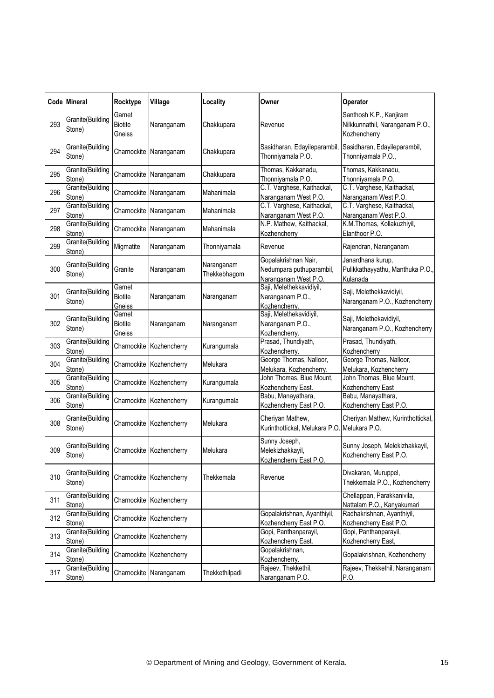|     | Code Mineral               | Rocktype                           | Village                  | Locality                   | Owner                                                                    | <b>Operator</b>                                                            |
|-----|----------------------------|------------------------------------|--------------------------|----------------------------|--------------------------------------------------------------------------|----------------------------------------------------------------------------|
| 293 | Granite(Building<br>Stone) | Garnet<br><b>Biotite</b><br>Gneiss | Naranganam               | Chakkupara                 | Revenue                                                                  | Santhosh K.P., Kanjiram<br>Nilkkunnathil, Naranganam P.O.,<br>Kozhencherry |
| 294 | Granite(Building<br>Stone) | Charnockite                        | Naranganam               | Chakkupara                 | Sasidharan, Edayileparambil,<br>Thonniyamala P.O.                        | Sasidharan, Edayileparambil,<br>Thonniyamala P.O.,                         |
| 295 | Granite(Building<br>Stone) |                                    | Charnockite Naranganam   | Chakkupara                 | Thomas, Kakkanadu,<br>Thonniyamala P.O.                                  | Thomas, Kakkanadu,<br>Thonniyamala P.O.                                    |
| 296 | Granite(Building<br>Stone) | Charnockite                        | Naranganam               | Mahanimala                 | C.T. Varghese, Kaithackal,<br>Naranganam West P.O.                       | C.T. Varghese, Kaithackal,<br>Naranganam West P.O.                         |
| 297 | Granite(Building<br>Stone) | Charnockite                        | Naranganam               | Mahanimala                 | C.T. Varghese, Kaithackal,<br>Naranganam West P.O.                       | C.T. Varghese, Kaithackal,<br>Naranganam West P.O.                         |
| 298 | Granite(Building<br>Stone) |                                    | Charnockite Naranganam   | Mahanimala                 | N.P. Mathew, Kaithackal,<br>Kozhencherry                                 | K.M.Thomas, Kollakuzhiyil,<br>Elanthoor P.O.                               |
| 299 | Granite(Building<br>Stone) | Migmatite                          | Naranganam               | Thonniyamala               | Revenue                                                                  | Rajendran, Naranganam                                                      |
| 300 | Granite(Building<br>Stone) | Granite                            | Naranganam               | Naranganam<br>Thekkebhagom | Gopalakrishnan Nair,<br>Nedumpara puthuparambil,<br>Naranganam West P.O. | Janardhana kurup,<br>Pulikkathayyathu, Manthuka P.O.,<br>Kulanada          |
| 301 | Granite(Building<br>Stone) | Garnet<br><b>Biotite</b><br>Gneiss | Naranganam               | Naranganam                 | Saji, Melethekkavidiyil,<br>Naranganam P.O.,<br>Kozhencherry.            | Saji, Melethekkavidiyil,<br>Naranganam P.O., Kozhencherry                  |
| 302 | Granite(Building<br>Stone) | Garnet<br><b>Biotite</b><br>Gneiss | Naranganam               | Naranganam                 | Saji, Melethekavidiyil,<br>Naranganam P.O.,<br>Kozhencherry.             | Saji, Melethekavidiyil,<br>Naranganam P.O., Kozhencherry                   |
| 303 | Granite(Building<br>Stone) | Charnockite                        | Kozhencherry             | Kurangumala                | Prasad, Thundiyath,<br>Kozhencherry.                                     | Prasad, Thundiyath,<br>Kozhencherry                                        |
| 304 | Granite(Building<br>Stone) |                                    | Charnockite Kozhencherry | Melukara                   | George Thomas, Nalloor,<br>Melukara, Kozhencherry.                       | George Thomas, Nalloor,<br>Melukara, Kozhencherry                          |
| 305 | Granite(Building<br>Stone) |                                    | Charnockite Kozhencherry | Kurangumala                | John Thomas, Blue Mount,<br>Kozhencherry East.                           | John Thomas, Blue Mount,<br>Kozhencherry East                              |
| 306 | Granite(Building<br>Stone) | Charnockite                        | Kozhencherry             | Kurangumala                | Babu, Manayathara,<br>Kozhencherry East P.O.                             | Babu, Manayathara,<br>Kozhencherry East P.O.                               |
| 308 | Granite(Building<br>Stone) |                                    | Charnockite Kozhencherry | Melukara                   | Cheriyan Mathew,<br>Kurinthottickal, Melukara P.O                        | Cheriyan Mathew, Kurinthottickal,<br>Melukara P.O.                         |
| 309 | Granite(Building<br>Stone) |                                    | Charnockite Kozhencherry | Melukara                   | Sunny Joseph,<br>Melekizhakkayil,<br>Kozhencherry East P.O.              | Sunny Joseph, Melekizhakkayil,<br>Kozhencherry East P.O.                   |
| 310 | Granite(Building<br>Stone) |                                    | Charnockite Kozhencherry | Thekkemala                 | Revenue                                                                  | Divakaran, Muruppel,<br>Thekkemala P.O., Kozhencherry                      |
| 311 | Granite(Building<br>Stone) |                                    | Charnockite Kozhencherry |                            |                                                                          | Chellappan, Parakkanivila,<br>Nattalam P.O., Kanyakumari                   |
| 312 | Granite(Building<br>Stone) |                                    | Charnockite Kozhencherry |                            | Gopalakrishnan, Ayanthiyil,<br>Kozhencherry East P.O.                    | Radhakrishnan, Ayanthiyil,<br>Kozhencherry East P.O.                       |
| 313 | Granite(Building<br>Stone) |                                    | Charnockite Kozhencherry |                            | Gopi, Panthanparayil,<br>Kozhencherry East.                              | Gopi, Panthanparayil,<br>Kozhencherry East,                                |
| 314 | Granite(Building<br>Stone) | Charnockite                        | Kozhencherry             |                            | Gopalakrishnan,<br>Kozhencherry.                                         | Gopalakrishnan, Kozhencherry                                               |
| 317 | Granite(Building<br>Stone) |                                    | Charnockite Naranganam   | Thekkethilpadi             | Rajeev, Thekkethil,<br>Naranganam P.O.                                   | Rajeev, Thekkethil, Naranganam<br>P.O.                                     |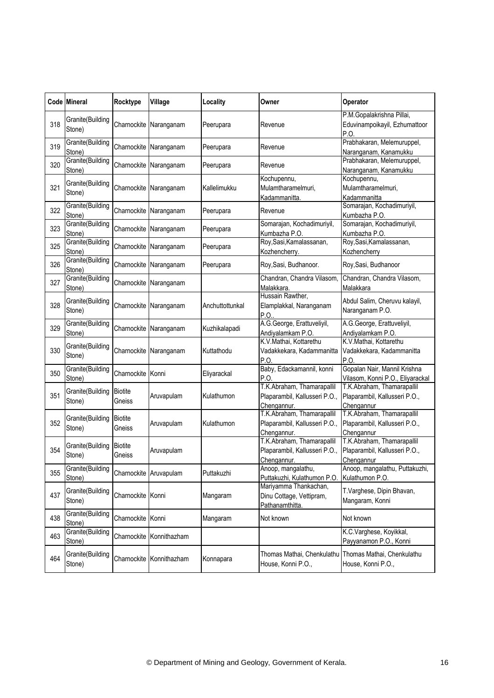|     | Code Mineral               | Rocktype                 | Village                  | Locality        | Owner                                                                      | Operator                                                                  |
|-----|----------------------------|--------------------------|--------------------------|-----------------|----------------------------------------------------------------------------|---------------------------------------------------------------------------|
| 318 | Granite(Building<br>Stone) |                          | Charnockite Naranganam   | Peerupara       | Revenue                                                                    | P.M.Gopalakrishna Pillai,<br>Eduvinampoikayil, Ezhumattoor<br>P.O.        |
| 319 | Granite(Building<br>Stone) | Charnockite              | Naranganam               | Peerupara       | Revenue                                                                    | Prabhakaran, Melemuruppel,<br>Naranganam, Kanamukku                       |
| 320 | Granite(Building<br>Stone) |                          | Charnockite Naranganam   | Peerupara       | Revenue                                                                    | Prabhakaran, Melemuruppel,<br>Naranganam, Kanamukku                       |
| 321 | Granite(Building<br>Stone) |                          | Charnockite Naranganam   | Kallelimukku    | Kochupennu,<br>Mulamtharamelmuri,<br>Kadammanitta.                         | Kochupennu,<br>Mulamtharamelmuri,<br>Kadammanitta                         |
| 322 | Granite(Building<br>Stone) | Charnockite              | Naranganam               | Peerupara       | Revenue                                                                    | Somarajan, Kochadimuriyil,<br>Kumbazha P.O.                               |
| 323 | Granite(Building<br>Stone) |                          | Charnockite Naranganam   | Peerupara       | Somarajan, Kochadimuriyil,<br>Kumbazha P.O.                                | Somarajan, Kochadimuriyil,<br>Kumbazha P.O.                               |
| 325 | Granite(Building<br>Stone) | Charnockite              | Naranganam               | Peerupara       | Roy, Sasi, Kamalassanan,<br>Kozhencherry.                                  | Roy, Sasi, Kamalassanan,<br>Kozhencherry                                  |
| 326 | Granite(Building<br>Stone) |                          | Charnockite Naranganam   | Peerupara       | Roy, Sasi, Budhanoor.                                                      | Roy, Sasi, Budhanoor                                                      |
| 327 | Granite(Building<br>Stone) |                          | Charnockite Naranganam   |                 | Chandran, Chandra Vilasom.<br>Malakkara.                                   | Chandran, Chandra Vilasom,<br>Malakkara                                   |
| 328 | Granite(Building<br>Stone) | Charnockite              | Naranganam               | Anchuttottunkal | Hussain Rawther,<br>Elamplakkal, Naranganam<br>P.O.                        | Abdul Salim, Cheruvu kalayil,<br>Naranganam P.O.                          |
| 329 | Granite(Building<br>Stone) |                          | Charnockite Naranganam   | Kuzhikalapadi   | A.G.George, Erattuveliyil,<br>Andiyalamkam P.O.                            | A.G.George, Erattuveliyil,<br>Andiyalamkam P.O.                           |
| 330 | Granite(Building<br>Stone) | Charnockite              | Naranganam               | Kuttathodu      | K.V.Mathai, Kottarethu<br>Vadakkekara, Kadammanitta<br>P.O.                | K.V.Mathai, Kottarethu<br>Vadakkekara, Kadammanitta<br>P.O                |
| 350 | Granite(Building<br>Stone) | Charnockite Konni        |                          | Eliyarackal     | Baby, Edackamannil, konni<br>P.O.                                          | Gopalan Nair, Mannil Krishna<br>Vilasom, Konni P.O., Eliyarackal          |
| 351 | Granite(Building<br>Stone) | <b>Biotite</b><br>Gneiss | Aruvapulam               | Kulathumon      | T.K.Abraham, Thamarapallil<br>Plaparambil, Kallusseri P.O.,<br>Chengannur. | T.K.Abraham, Thamarapallil<br>Plaparambil, Kallusseri P.O.,<br>Chengannur |
| 352 | Granite(Building<br>Stone) | <b>Biotite</b><br>Gneiss | Aruvapulam               | Kulathumon      | T.K.Abraham, Thamarapallil<br>Plaparambil, Kallusseri P.O.,<br>Chengannur. | T.K.Abraham, Thamarapallil<br>Plaparambil, Kallusseri P.O.,<br>Chengannur |
| 354 | Granite(Building<br>Stone) | <b>Biotite</b><br>Gneiss | Aruvapulam               |                 | T.K.Abraham, Thamarapallil<br>Plaparambil, Kallusseri P.O.,<br>Chengannur. | T.K.Abraham, Thamarapallil<br>Plaparambil, Kallusseri P.O.,<br>Chengannur |
| 355 | Granite(Building<br>Stone) |                          | Charnockite Aruvapulam   | Puttakuzhi      | Anoop, mangalathu,<br>Puttakuzhi, Kulathumon P.O.                          | Anoop, mangalathu, Puttakuzhi,<br>Kulathumon P.O.                         |
| 437 | Granite(Building<br>Stone) | Charnockite Konni        |                          | Mangaram        | Mariyamma Thankachan,<br>Dinu Cottage, Vettipram,<br>Pathanamthitta.       | T.Varghese, Dipin Bhavan,<br>Mangaram, Konni                              |
| 438 | Granite(Building<br>Stone) | Charnockite Konni        |                          | Mangaram        | Not known                                                                  | Not known                                                                 |
| 463 | Granite(Building<br>Stone) |                          | Charnockite Konnithazham |                 |                                                                            | K.C.Varghese, Koyikkal,<br>Payyanamon P.O., Konni                         |
| 464 | Granite(Building<br>Stone) | Charnockite              | Konnithazham             | Konnapara       | Thomas Mathai, Chenkulathu<br>House, Konni P.O.,                           | Thomas Mathai, Chenkulathu<br>House, Konni P.O.,                          |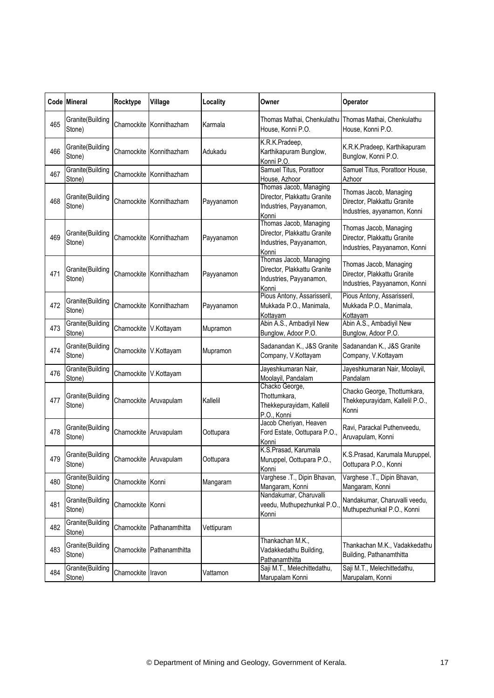|     | Code Mineral               | Rocktype               | Village                    | Locality   | Owner                                                                                     | Operator                                                                               |
|-----|----------------------------|------------------------|----------------------------|------------|-------------------------------------------------------------------------------------------|----------------------------------------------------------------------------------------|
| 465 | Granite(Building<br>Stone) |                        | Charnockite Konnithazham   | Karmala    | House, Konni P.O.                                                                         | Thomas Mathai, Chenkulathu Thomas Mathai, Chenkulathu<br>House, Konni P.O.             |
| 466 | Granite(Building<br>Stone) | Charnockite            | Konnithazham               | Adukadu    | K.R.K.Pradeep,<br>Karthikapuram Bunglow,<br>Konni P.O.                                    | K.R.K.Pradeep, Karthikapuram<br>Bunglow, Konni P.O.                                    |
| 467 | Granite(Building<br>Stone) |                        | Charnockite Konnithazham   |            | Samuel Titus, Porattoor<br>House, Azhoor                                                  | Samuel Titus, Porattoor House,<br>Azhoor                                               |
| 468 | Granite(Building<br>Stone) | Charnockite            | Konnithazham               | Payyanamon | Thomas Jacob, Managing<br>Director, Plakkattu Granite<br>Industries, Payyanamon,<br>Konni | Thomas Jacob, Managing<br>Director, Plakkattu Granite<br>Industries, ayyanamon, Konni  |
| 469 | Granite(Building<br>Stone) |                        | Charnockite Konnithazham   | Payyanamon | Thomas Jacob, Managing<br>Director, Plakkattu Granite<br>Industries, Payyanamon,<br>Konni | Thomas Jacob, Managing<br>Director, Plakkattu Granite<br>Industries, Payyanamon, Konni |
| 471 | Granite(Building<br>Stone) |                        | Charnockite Konnithazham   | Payyanamon | Thomas Jacob, Managing<br>Director, Plakkattu Granite<br>Industries, Payyanamon,<br>Konni | Thomas Jacob, Managing<br>Director, Plakkattu Granite<br>Industries, Payyanamon, Konni |
| 472 | Granite(Building<br>Stone) | Charnockite            | Konnithazham               | Payyanamon | Pious Antony, Assarisseril,<br>Mukkada P.O., Manimala,<br>Kottayam                        | Pious Antony, Assarisseril,<br>Mukkada P.O., Manimala,<br>Kottayam                     |
| 473 | Granite(Building<br>Stone) | Charnockite V.Kottayam |                            | Mupramon   | Abin A.S., Ambadiyil New<br>Bunglow, Adoor P.O.                                           | Abin A.S., Ambadiyil New<br>Bunglow, Adoor P.O.                                        |
| 474 | Granite(Building<br>Stone) | Charnockite            | V.Kottayam                 | Mupramon   | Sadanandan K., J&S Granite<br>Company, V.Kottayam                                         | Sadanandan K., J&S Granite<br>Company, V.Kottayam                                      |
| 476 | Granite(Building<br>Stone) | Charnockite V.Kottayam |                            |            | Jayeshkumaran Nair,<br>Moolayil, Pandalam                                                 | Jayeshkumaran Nair, Moolayil,<br>Pandalam                                              |
| 477 | Granite(Building<br>Stone) |                        | Charnockite Aruvapulam     | Kallelil   | Chacko George,<br>Thottumkara,<br>Thekkepurayidam, Kallelil<br>P.O., Konni                | Chacko George, Thottumkara,<br>Thekkepurayidam, Kallelil P.O.,<br>Konni                |
| 478 | Granite(Building<br>Stone) |                        | Charnockite Aruvapulam     | Oottupara  | Jacob Cheriyan, Heaven<br>Ford Estate, Oottupara P.O.,<br>Konni                           | Ravi, Parackal Puthenveedu,<br>Aruvapulam, Konni                                       |
| 479 | Granite(Building<br>Stone) |                        | Charnockite Aruvapulam     | Oottupara  | K.S.Prasad, Karumala<br>Muruppel, Oottupara P.O.,<br>Konni                                | K.S.Prasad, Karumala Muruppel,<br>Oottupara P.O., Konni                                |
| 480 | Granite(Building<br>Stone) | Charnockite Konni      |                            | Mangaram   | Varghese .T., Dipin Bhavan,<br>Mangaram, Konni                                            | Varghese .T., Dipin Bhavan,<br>Mangaram, Konni                                         |
| 481 | Granite(Building<br>Stone) | Charnockite Konni      |                            |            | Nandakumar, Charuvalli<br>veedu, Muthupezhunkal P.O<br>Konni                              | Nandakumar, Charuvalli veedu,<br>Muthupezhunkal P.O., Konni                            |
| 482 | Granite(Building<br>Stone) |                        | Charnockite Pathanamthitta | Vettipuram |                                                                                           |                                                                                        |
| 483 | Granite(Building<br>Stone) | Charnockite            | Pathanamthitta             |            | Thankachan M.K.,<br>Vadakkedathu Building,<br>Pathanamthitta                              | Thankachan M.K., Vadakkedathu<br>Building, Pathanamthitta                              |
| 484 | Granite(Building<br>Stone) | Charnockite Iravon     |                            | Vattamon   | Saji M.T., Melechittedathu,<br>Marupalam Konni                                            | Saji M.T., Melechittedathu,<br>Marupalam, Konni                                        |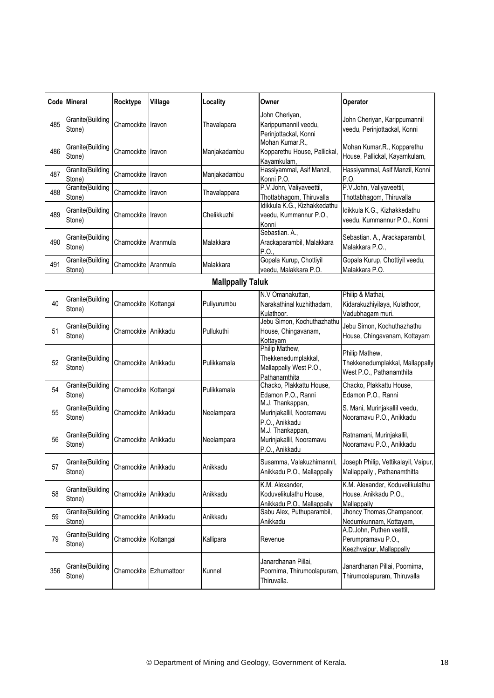|                         | Code Mineral               | Rocktype              | Village     | Locality     | Owner                                                                            | Operator                                                                      |  |  |
|-------------------------|----------------------------|-----------------------|-------------|--------------|----------------------------------------------------------------------------------|-------------------------------------------------------------------------------|--|--|
| 485                     | Granite(Building<br>Stone) | Charnockite           | Iravon      | Thavalapara  | John Cheriyan,<br>Karippumannil veedu,<br>Perinjottackal, Konni                  | John Cheriyan, Karippumannil<br>veedu, Perinjottackal, Konni                  |  |  |
| 486                     | Granite(Building<br>Stone) | Charnockite           | Iravon      | Manjakadambu | Mohan Kumar.R.,<br>Kopparethu House, Pallickal,<br>Kayamkulam,                   | Mohan Kumar.R., Kopparethu<br>House, Pallickal, Kayamkulam,                   |  |  |
| 487                     | Granite(Building<br>Stone) | Charnockite           | Iravon      | Manjakadambu | Hassiyammal, Asif Manzil,<br>Konni P.O.                                          | Hassiyammal, Asif Manzil, Konni<br>P.O                                        |  |  |
| 488                     | Granite(Building<br>Stone) | Charnockite           | Iravon      | Thavalappara | P.V.John, Valiyaveettil,<br>Thottabhagom, Thiruvalla                             | P.V.John, Valiyaveettil,<br>Thottabhagom, Thiruvalla                          |  |  |
| 489                     | Granite(Building<br>Stone) | Charnockite Iravon    |             | Chelikkuzhi  | Idikkula K.G., Kizhakkedathu<br>veedu, Kummannur P.O.,<br>Konni                  | Idikkula K.G., Kizhakkedathu<br>veedu, Kummannur P.O., Konni                  |  |  |
| 490                     | Granite(Building<br>Stone) | Charnockite           | Aranmula    | Malakkara    | Sebastian. A.,<br>Arackaparambil, Malakkara<br>P.O                               | Sebastian. A., Arackaparambil,<br>Malakkara P.O.,                             |  |  |
| 491                     | Granite(Building<br>Stone) | Charnockite Aranmula  |             | Malakkara    | Gopala Kurup, Chottiyil<br>veedu, Malakkara P.O.                                 | Gopala Kurup, Chottiyil veedu,<br>Malakkara P.O.                              |  |  |
| <b>Mallppally Taluk</b> |                            |                       |             |              |                                                                                  |                                                                               |  |  |
| 40                      | Granite(Building<br>Stone) | Charnockite Kottangal |             | Puliyurumbu  | N.V Omanakuttan,<br>Narakathinal kuzhithadam,<br>Kulathoor.                      | Philip & Mathai,<br>Kidarakuzhiyilaya, Kulathoor,<br>Vadubhagam muri.         |  |  |
| 51                      | Granite(Building<br>Stone) | Charnockite Anikkadu  |             | Pullukuthi   | Jebu Simon, Kochuthazhathu<br>House, Chingavanam,<br>Kottayam                    | Jebu Simon, Kochuthazhathu<br>House, Chingavanam, Kottayam                    |  |  |
| 52                      | Granite(Building<br>Stone) | Charnockite Anikkadu  |             | Pulikkamala  | Philip Mathew,<br>Thekkenedumplakkal,<br>Mallappally West P.O.,<br>Pathanamthita | Philip Mathew,<br>Thekkenedumplakkal, Mallappally<br>West P.O., Pathanamthita |  |  |
| 54                      | Granite(Building<br>Stone) | Charnockite Kottangal |             | Pulikkamala  | Chacko, Plakkattu House,<br>Edamon P.O., Ranni                                   | Chacko, Plakkattu House,<br>Edamon P.O., Ranni                                |  |  |
| 55                      | Granite(Building<br>Stone) | Charnockite Anikkadu  |             | Neelampara   | M.J. Thankappan,<br>Murinjakallil, Nooramavu<br>P.O., Anikkadu                   | S. Mani, Murinjakallil veedu,<br>Nooramavu P.O., Anikkadu                     |  |  |
| 56                      | Granite(Building<br>Stone) | Charnockite Anikkadu  |             | Neelampara   | M.J. Thankappan,<br>Murinjakallil, Nooramavu<br>P.O., Anikkadu                   | Ratnamani, Murinjakallil,<br>Nooramavu P.O., Anikkadu                         |  |  |
| 57                      | Granite(Building<br>Stone) | Charnockite Anikkadu  |             | Anikkadu     | Susamma, Valakuzhimannil,<br>Anikkadu P.O., Mallappally                          | Joseph Philip, Vettikalayil, Vaipur,<br>Mallappally, Pathanamthitta           |  |  |
| 58                      | Granite(Building<br>Stone) | Charnockite Anikkadu  |             | Anikkadu     | K.M. Alexander,<br>Koduvelikulathu House,<br>Anikkadu P.O., Mallappally          | K.M. Alexander, Koduvelikulathu<br>House, Anikkadu P.O.,<br>Mallappally       |  |  |
| 59                      | Granite(Building<br>Stone) | Charnockite Anikkadu  |             | Anikkadu     | Sabu Alex, Puthuparambil,<br>Anikkadu                                            | Jhoncy Thomas, Champanoor,<br>Nedumkunnam, Kottayam,                          |  |  |
| 79                      | Granite(Building<br>Stone) | Charnockite Kottangal |             | Kallipara    | Revenue                                                                          | A.D.John, Puthen veettil,<br>Perumpramavu P.O.,<br>Keezhvaipur, Mallappally   |  |  |
| 356                     | Granite(Building<br>Stone) | Charnockite           | Ezhumattoor | Kunnel       | Janardhanan Pillai,<br>Poornima, Thirumoolapuram,<br>Thiruvalla.                 | Janardhanan Pillai, Poornima,<br>Thirumoolapuram, Thiruvalla                  |  |  |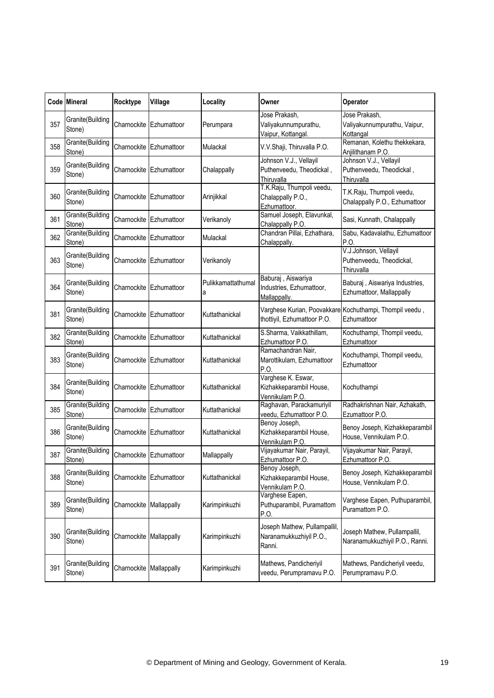|     | <b>Code Mineral</b>        | Rocktype                | Village                          | Locality                | Owner                                                             | Operator                                                               |
|-----|----------------------------|-------------------------|----------------------------------|-------------------------|-------------------------------------------------------------------|------------------------------------------------------------------------|
| 357 | Granite(Building<br>Stone) | Charnockite             | Ezhumattoor                      | Perumpara               | Jose Prakash.<br>Valiyakunnumpurathu,<br>Vaipur, Kottangal.       | Jose Prakash,<br>Valiyakunnumpurathu, Vaipur,<br>Kottangal             |
| 358 | Granite(Building<br>Stone) |                         | Charnockite Ezhumattoor          | Mulackal                | V.V.Shaji, Thiruvalla P.O.                                        | Remanan, Kolethu thekkekara,<br>Anjilithanam P.O.                      |
| 359 | Granite(Building<br>Stone) | Charnockite             | Ezhumattoor                      | Chalappally             | Johnson V.J., Vellayil<br>Puthenveedu, Theodickal,<br>Thiruvalla  | Johnson V.J., Vellayil<br>Puthenveedu, Theodickal,<br>Thiruvalla       |
| 360 | Granite(Building<br>Stone) |                         | Charnockite Ezhumattoor          | Arinjikkal              | T.K.Raju, Thumpoli veedu,<br>Chalappally P.O.,<br>Ezhumattoor.    | T.K.Raju, Thumpoli veedu,<br>Chalappally P.O., Ezhumattoor             |
| 361 | Granite(Building<br>Stone) |                         | Charnockite <b>I</b> Ezhumattoor | Verikanoly              | Samuel Joseph, Elavunkal,<br>Chalappally P.O.                     | Sasi, Kunnath, Chalappally                                             |
| 362 | Granite(Building<br>Stone) |                         | Charnockite Ezhumattoor          | Mulackal                | Chandran Pillai, Ezhathara,<br>Chalappally.                       | Sabu, Kadavalathu, Ezhumattoor<br>P.O.                                 |
| 363 | Granite(Building<br>Stone) | Charnockite             | Ezhumattoor                      | Verikanoly              |                                                                   | V.J.Johnson, Vellayil<br>Puthenveedu, Theodickal,<br>Thiruvalla        |
| 364 | Granite(Building<br>Stone) |                         | Charnockite Ezhumattoor          | Pulikkamattathumal<br>а | Baburaj, Aiswariya<br>Industries, Ezhumattoor,<br>Mallappally.    | Baburaj, Aiswariya Industries,<br>Ezhumattoor, Mallappally             |
| 381 | Granite(Building<br>Stone) | Charnockite             | Ezhumattoor                      | Kuttathanickal          | thottiyil, Ezhumattoor P.O.                                       | Varghese Kurian, Poovakkare Kochuthampi, Thompil veedu,<br>Ezhumattoor |
| 382 | Granite(Building<br>Stone) |                         | Charnockite Ezhumattoor          | Kuttathanickal          | S.Sharma, Vaikkathillam,<br>Ezhumattoor P.O.                      | Kochuthampi, Thompil veedu,<br>Ezhumattoor                             |
| 383 | Granite(Building<br>Stone) | Charnockite             | Ezhumattoor                      | Kuttathanickal          | Ramachandran Nair,<br>Marottikulam, Ezhumattoor<br>P.O.           | Kochuthampi, Thompil veedu,<br>Ezhumattoor                             |
| 384 | Granite(Building<br>Stone) |                         | Charnockite Ezhumattoor          | Kuttathanickal          | Varghese K. Eswar,<br>Kizhakkeparambil House,<br>Vennikulam P.O.  | Kochuthampi                                                            |
| 385 | Granite(Building<br>Stone) | Charnockite             | Ezhumattoor                      | Kuttathanickal          | Raghavan, Parackamuriyil<br>veedu, Ezhumattoor P.O.               | Radhakrishnan Nair, Azhakath,<br>Ezumattoor P.O.                       |
| 386 | Granite(Building<br>Stone) |                         | Charnockite Ezhumattoor          | Kuttathanickal          | Benoy Joseph,<br>Kizhakkeparambil House,<br>Vennikulam P.O.       | Benoy Joseph, Kizhakkeparambil<br>House, Vennikulam P.O.               |
| 387 | Granite(Building<br>Stone) |                         | Charnockite Ezhumattoor          | Mallappally             | Vijayakumar Nair, Parayil,<br>Ezhumattoor P.O.                    | Vijayakumar Nair, Parayil,<br>Ezhumattoor P.O.                         |
| 388 | Granite(Building<br>Stone) | Charnockite             | Ezhumattoor                      | Kuttathanickal          | Benoy Joseph,<br>Kizhakkeparambil House,<br>Vennikulam P.O.       | Benoy Joseph, Kizhakkeparambil<br>House, Vennikulam P.O.               |
| 389 | Granite(Building<br>Stone) | Charnockite             | Mallappally                      | Karimpinkuzhi           | Varghese Eapen,<br>Puthuparambil, Puramattom<br>P.O.              | Varghese Eapen, Puthuparambil,<br>Puramattom P.O.                      |
| 390 | Granite(Building<br>Stone) | Charnockite Mallappally |                                  | Karimpinkuzhi           | Joseph Mathew, Pullampallil,<br>Naranamukkuzhiyil P.O.,<br>Ranni. | Joseph Mathew, Pullampallil,<br>Naranamukkuzhiyil P.O., Ranni.         |
| 391 | Granite(Building<br>Stone) | Charnockite             | Mallappally                      | Karimpinkuzhi           | Mathews, Pandicheriyil<br>veedu, Perumpramavu P.O.                | Mathews, Pandicheriyil veedu,<br>Perumpramavu P.O.                     |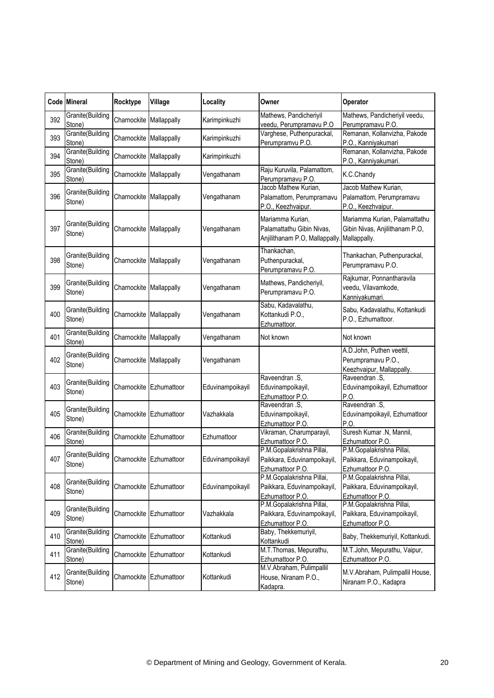|     | Code Mineral               | Rocktype                | Village                 | Locality         | Owner                                                                          | Operator                                                                          |
|-----|----------------------------|-------------------------|-------------------------|------------------|--------------------------------------------------------------------------------|-----------------------------------------------------------------------------------|
| 392 | Granite(Building<br>Stone) | Charnockite Mallappally |                         | Karimpinkuzhi    | Mathews, Pandicheriyil<br>veedu, Perumpramavu P.O                              | Mathews, Pandicheriyil veedu,<br>Perumpramavu P.O.                                |
| 393 | Granite(Building<br>Stone) | Charnockite Mallappally |                         | Karimpinkuzhi    | Varghese, Puthenpurackal,<br>Perumpramvu P.O.                                  | Remanan, Kollanvizha, Pakode<br>P.O., Kanniyakumari                               |
| 394 | Granite(Building<br>Stone) | Charnockite             | Mallappally             | Karimpinkuzhi    |                                                                                | Remanan, Kollanvizha, Pakode<br>P.O., Kanniyakumari.                              |
| 395 | Granite(Building<br>Stone) | Charnockite Mallappally |                         | Vengathanam      | Raju Kuruvila, Palamattom,<br>Perumpramavu P.O.                                | K.C.Chandy                                                                        |
| 396 | Granite(Building<br>Stone) | Charnockite             | Mallappally             | Vengathanam      | Jacob Mathew Kurian,<br>Palamattom, Perumpramavu<br>P.O., Keezhvaipur.         | Jacob Mathew Kurian,<br>Palamattom, Perumpramavu<br>P.O., Keezhvaipur.            |
| 397 | Granite(Building<br>Stone) | Charnockite Mallappally |                         | Vengathanam      | Mariamma Kurian,<br>Palamattathu Gibin Nivas,<br>Anjilithanam P.O, Mallappally | Mariamma Kurian, Palamattathu<br>Gibin Nivas, Anjilithanam P.O,<br>. Mallappally. |
| 398 | Granite(Building<br>Stone) | Charnockite             | Mallappally             | Vengathanam      | Thankachan,<br>Puthenpurackal,<br>Perumpramavu P.O.                            | Thankachan, Puthenpurackal,<br>Perumpramavu P.O.                                  |
| 399 | Granite(Building<br>Stone) | Charnockite Mallappally |                         | Vengathanam      | Mathews, Pandicheriyil,<br>Perumpramavu P.O.                                   | Rajkumar, Ponnantharavila<br>veedu, Vilavamkode,<br>Kanniyakumari.                |
| 400 | Granite(Building<br>Stone) | Charnockite             | Mallappally             | Vengathanam      | Sabu, Kadavalathu,<br>Kottankudi P.O.,<br>Ezhumattoor.                         | Sabu, Kadavalathu, Kottankudi<br>P.O., Ezhumattoor.                               |
| 401 | Granite(Building<br>Stone) | Charnockite Mallappally |                         | Vengathanam      | Not known                                                                      | Not known                                                                         |
| 402 | Granite(Building<br>Stone) | Charnockite             | Mallappally             | Vengathanam      |                                                                                | A.D.John, Puthen veettil,<br>Perumpramavu P.O.,<br>Keezhvaipur, Mallappally.      |
| 403 | Granite(Building<br>Stone) | Charnockite             | Ezhumattoor             | Eduvinampoikayil | Raveendran .S,<br>Eduvinampoikayil,<br>Ezhumattoor P.O.                        | Raveendran .S,<br>Eduvinampoikayil, Ezhumattoor<br>P.O.                           |
| 405 | Granite(Building<br>Stone) | Charnockite             | Ezhumattoor             | Vazhakkala       | Raveendran .S,<br>Eduvinampoikayil,<br>Ezhumattoor P.O.                        | Raveendran .S,<br>Eduvinampoikayil, Ezhumattoor<br>P.O.                           |
| 406 | Granite(Building<br>Stone) | Charnockite             | Ezhumattoor             | Ezhumattoor      | Vikraman, Charumparayil,<br>Ezhumattoor P.O.                                   | Suresh Kumar .N, Mannil,<br>Ezhumattoor P.O.                                      |
| 407 | Granite(Building<br>Stone) |                         | Charnockite Ezhumattoor | Eduvinampoikayil | P.M.Gopalakrishna Pillai,<br>Paikkara, Eduvinampoikayil,<br>Ezhumattoor P.O.   | P.M.Gopalakrishna Pillai,<br>Paikkara, Eduvinampoikayil,<br>Ezhumattoor P.O.      |
| 408 | Granite(Building<br>Stone) | Charnockite             | Ezhumattoor             | Eduvinampoikayil | P.M.Gopalakrishna Pillai,<br>Paikkara, Eduvinampoikayil,<br>Ezhumattoor P.O.   | P.M.Gopalakrishna Pillai,<br>Paikkara, Eduvinampoikayil,<br>Ezhumattoor P.O.      |
| 409 | Granite(Building<br>Stone) | Charnockite             | Ezhumattoor             | Vazhakkala       | P.M.Gopalakrishna Pillai,<br>Paikkara, Eduvinampoikayil,<br>Ezhumattoor P.O.   | P.M.Gopalakrishna Pillai,<br>Paikkara, Eduvinampoikayil,<br>Ezhumattoor P.O.      |
| 410 | Granite(Building<br>Stone) | Charnockite             | Ezhumattoor             | Kottankudi       | Baby, Thekkemuriyil,<br>Kottankudi                                             | Baby, Thekkemuriyil, Kottankudi.                                                  |
| 411 | Granite(Building<br>Stone) | Charnockite             | Ezhumattoor             | Kottankudi       | M.T.Thomas, Mepurathu,<br>Ezhumattoor P.O.                                     | M.T.John, Mepurathu, Vaipur,<br>Ezhumattoor P.O.                                  |
| 412 | Granite(Building<br>Stone) |                         | Charnockite Ezhumattoor | Kottankudi       | M.V.Abraham, Pulimpallil<br>House, Niranam P.O.,<br>Kadapra.                   | M.V.Abraham, Pulimpallil House,<br>Niranam P.O., Kadapra                          |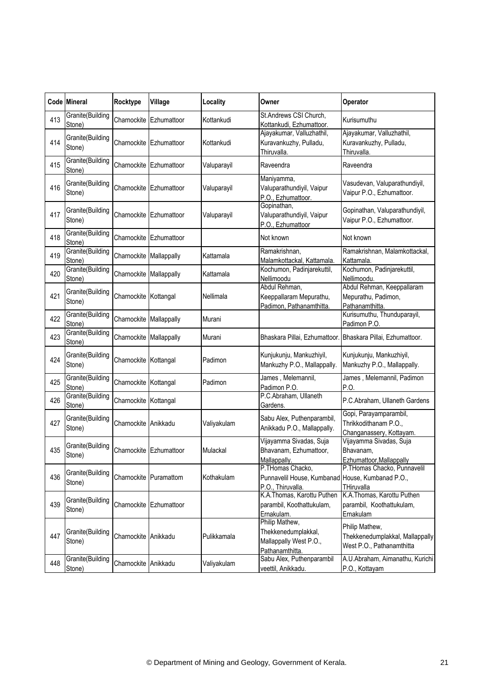|     | Code Mineral               | Rocktype                | Village                | Locality    | Owner                                                                                     | Operator                                                                       |
|-----|----------------------------|-------------------------|------------------------|-------------|-------------------------------------------------------------------------------------------|--------------------------------------------------------------------------------|
| 413 | Granite(Building<br>Stone) | Charnockite             | Ezhumattoor            | Kottankudi  | St.Andrews CSI Church,<br>Kottankudi, Ezhumattoor.                                        | Kurisumuthu                                                                    |
| 414 | Granite(Building<br>Stone) | Charnockite             | Ezhumattoor            | Kottankudi  | Ajayakumar, Valluzhathil,<br>Kuravankuzhy, Pulladu,<br>Thiruvalla.                        | Ajayakumar, Valluzhathil,<br>Kuravankuzhy, Pulladu,<br>Thiruvalla.             |
| 415 | Granite(Building<br>Stone) | Charnockite             | Ezhumattoor            | Valuparayil | Raveendra                                                                                 | Raveendra                                                                      |
| 416 | Granite(Building<br>Stone) | Charnockite             | Ezhumattoor            | Valuparayil | Maniyamma,<br>Valuparathundiyil, Vaipur<br>P.O., Ezhumattoor.                             | Vasudevan, Valuparathundiyil,<br>Vaipur P.O., Ezhumattoor.                     |
| 417 | Granite(Building<br>Stone) | Charnockite             | Ezhumattoor            | Valuparayil | Gopinathan,<br>Valuparathundiyil, Vaipur<br>P.O., Ezhumattoor                             | Gopinathan, Valuparathundiyil,<br>Vaipur P.O., Ezhumattoor.                    |
| 418 | Granite(Building<br>Stone) | Charnockite             | Ezhumattoor            |             | Not known                                                                                 | Not known                                                                      |
| 419 | Granite(Building<br>Stone) | Charnockite             | Mallappally            | Kattamala   | Ramakrishnan,<br>Malamkottackal, Kattamala.                                               | Ramakrishnan, Malamkottackal,<br>Kattamala.                                    |
| 420 | Granite(Building<br>Stone) | Charnockite Mallappally |                        | Kattamala   | Kochumon, Padinjarekuttil,<br>Nellimoodu                                                  | Kochumon, Padinjarekuttil,<br>Nellimoodu.                                      |
| 421 | Granite(Building<br>Stone) | Charnockite Kottangal   |                        | Nellimala   | Abdul Rehman,<br>Keeppallaram Mepurathu,<br>Padimon, Pathanamthitta.                      | Abdul Rehman, Keeppallaram<br>Mepurathu, Padimon,<br>Pathanamthitta.           |
| 422 | Granite(Building<br>Stone) | Charnockite             | Mallappally            | Murani      |                                                                                           | Kurisumuthu, Thunduparayil,<br>Padimon P.O.                                    |
| 423 | Granite(Building<br>Stone) | Charnockite Mallappally |                        | Murani      | Bhaskara Pillai, Ezhumattoor. Bhaskara Pillai, Ezhumattoor.                               |                                                                                |
| 424 | Granite(Building<br>Stone) | Charnockite             | Kottangal              | Padimon     | Kunjukunju, Mankuzhiyil,<br>Mankuzhy P.O., Mallappally.                                   | Kunjukunju, Mankuzhiyil,<br>Mankuzhy P.O., Mallappally.                        |
| 425 | Granite(Building<br>Stone) | Charnockite Kottangal   |                        | Padimon     | James, Melemannil,<br>Padimon P.O.                                                        | James, Melemannil, Padimon<br>P.O                                              |
| 426 | Granite(Building<br>Stone) | Charnockite             | Kottangal              |             | P.C.Abraham, Ullaneth<br>Gardens.                                                         | P.C.Abraham, Ullaneth Gardens                                                  |
| 427 | Granite(Building<br>Stone) | Charnockite Anikkadu    |                        | Valiyakulam | Sabu Alex, Puthenparambil,<br>Anikkadu P.O., Mallappally.                                 | Gopi, Parayamparambil,<br>Thrikkodithanam P.O.,<br>Changanassery, Kottayam.    |
| 435 | Granite(Building<br>Stone) | Charnockite             | Ezhumattoor            | Mulackal    | Vijayamma Sivadas, Suja<br>Bhavanam, Ezhumattoor,<br>Mallappally.                         | Vijayamma Sivadas, Suja<br>Bhavanam,<br>Ezhumattoor, Mallappally               |
| 436 | Granite(Building<br>Stone) |                         | Charnockite Puramattom | Kothakulam  | P.THomas Chacko,<br>Punnavelil House, Kumbanad House, Kumbanad P.O.,<br>P.O., Thiruvalla. | P.THomas Chacko, Punnavelil<br>THiruvalla                                      |
| 439 | Granite(Building<br>Stone) | Charnockite             | Ezhumattoor            |             | K.A.Thomas, Karottu Puthen<br>parambil, Koothattukulam,<br>Ernakulam.                     | K.A.Thomas, Karottu Puthen<br>parambil, Koothattukulam,<br>Ernakulam           |
| 447 | Granite(Building<br>Stone) | Charnockite Anikkadu    |                        | Pulikkamala | Philip Mathew,<br>Thekkenedumplakkal,<br>Mallappally West P.O.,<br>Pathanamthitta.        | Philip Mathew,<br>Thekkenedumplakkal, Mallappally<br>West P.O., Pathanamthitta |
| 448 | Granite(Building<br>Stone) | Charnockite Anikkadu    |                        | Valiyakulam | Sabu Alex, Puthenparambil<br>veettil, Anikkadu.                                           | A.U.Abraham, Aimanathu, Kurichi<br>P.O., Kottayam                              |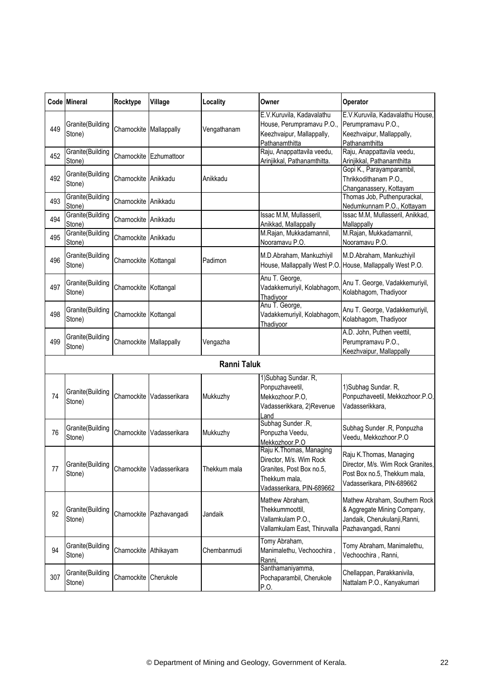|     | Code Mineral               | Rocktype                | Village                   | Locality           | Owner                                                                                                                         | Operator                                                                                                                   |
|-----|----------------------------|-------------------------|---------------------------|--------------------|-------------------------------------------------------------------------------------------------------------------------------|----------------------------------------------------------------------------------------------------------------------------|
| 449 | Granite(Building<br>Stone) | Charnockite Mallappally |                           | Vengathanam        | E.V.Kuruvila, Kadavalathu<br>House, Perumpramavu P.O.,<br>Keezhvaipur, Mallappally,<br>Pathanamthitta                         | E.V.Kuruvila, Kadavalathu House,<br>Perumpramavu P.O.,<br>Keezhvaipur, Mallappally,<br>Pathanamthitta                      |
| 452 | Granite(Building<br>Stone) |                         | Charnockite Ezhumattoor   |                    | Raju, Anappattavila veedu,<br>Arinjikkal, Pathanamthitta.                                                                     | Raju, Anappattavila veedu,<br>Arinjikkal, Pathanamthitta                                                                   |
| 492 | Granite(Building<br>Stone) | Charnockite Anikkadu    |                           | Anikkadu           |                                                                                                                               | Gopi K., Parayamparambil,<br>Thrikkodithanam P.O.,<br>Changanassery, Kottayam                                              |
| 493 | Granite(Building<br>Stone) | Charnockite Anikkadu    |                           |                    |                                                                                                                               | Thomas Job, Puthenpurackal,<br>Nedumkunnam P.O., Kottayam                                                                  |
| 494 | Granite(Building<br>Stone) | Charnockite Anikkadu    |                           |                    | Issac M.M, Mullasseril,<br>Anikkad, Mallappally                                                                               | Issac M.M, Mullasseril, Anikkad,<br>Mallappally                                                                            |
| 495 | Granite(Building<br>Stone) | Charnockite Anikkadu    |                           |                    | M.Rajan, Mukkadamannil,<br>Nooramavu P.O.                                                                                     | M.Rajan, Mukkadamannil,<br>Nooramavu P.O.                                                                                  |
| 496 | Granite(Building<br>Stone) | Charnockite Kottangal   |                           | Padimon            | M.D.Abraham, Mankuzhiyil                                                                                                      | M.D.Abraham, Mankuzhiyil<br>House, Mallappally West P.O. House, Mallappally West P.O.                                      |
| 497 | Granite(Building<br>Stone) | Charnockite Kottangal   |                           |                    | Anu T. George,<br>Vadakkemuriyil, Kolabhagom<br>Thadiyoor                                                                     | Anu T. George, Vadakkemuriyil,<br>Kolabhagom, Thadiyoor                                                                    |
| 498 | Granite(Building<br>Stone) | Charnockite Kottangal   |                           |                    | Anu T. George,<br>Vadakkemuriyil, Kolabhagom<br>Thadiyoor                                                                     | Anu T. George, Vadakkemuriyil,<br>Kolabhagom, Thadiyoor                                                                    |
| 499 | Granite(Building<br>Stone) | Charnockite Mallappally |                           | Vengazha           |                                                                                                                               | A.D. John, Puthen veettil,<br>Perumpramavu P.O.,<br>Keezhvaipur, Mallappally                                               |
|     |                            |                         |                           | <b>Ranni Taluk</b> |                                                                                                                               |                                                                                                                            |
| 74  | Granite(Building<br>Stone) | Charnockite             | Vadasserikara             | Mukkuzhy           | 1) Subhag Sundar. R,<br>Ponpuzhaveetil,<br>Mekkozhoor.P.O,<br>Vadasserikkara, 2)Revenue<br>Land                               | 1)Subhag Sundar. R,<br>Ponpuzhaveetil, Mekkozhoor.P.O,<br>Vadasserikkara,                                                  |
| 76  | Granite(Building<br>Stone) | Charnockite             | Vadasserikara             | Mukkuzhy           | Subhag Sunder .R,<br>Ponpuzha Veedu,<br>Mekkozhoor.P.O                                                                        | Subhag Sunder .R, Ponpuzha<br>Veedu, Mekkozhoor.P.O                                                                        |
| 77  | Granite(Building<br>Stone) |                         | Charnockite Vadasserikara | Thekkum mala       | Raju K. Thomas, Managing<br>Director, M/s. Wim Rock<br>Granites, Post Box no.5,<br>Thekkum mala,<br>Vadasserikara, PIN-689662 | Raju K. Thomas, Managing<br>Director, M/s. Wim Rock Granites,<br>Post Box no.5, Thekkum mala,<br>Vadasserikara, PIN-689662 |
| 92  | Granite(Building<br>Stone) |                         | Charnockite Pazhavangadi  | Jandaik            | Mathew Abraham,<br>Thekkummoottil,<br>Vallamkulam P.O.,<br>Vallamkulam East, Thiruvalla                                       | Mathew Abraham, Southern Rock<br>& Aggregate Mining Company,<br>Jandaik, Cherukulanji, Ranni,<br>Pazhavangadi, Ranni       |
| 94  | Granite(Building<br>Stone) | Charnockite Athikayam   |                           | Chembanmudi        | Tomy Abraham,<br>Manimalethu, Vechoochira,<br>Ranni,                                                                          | Tomy Abraham, Manimalethu,<br>Vechoochira, Ranni,                                                                          |
| 307 | Granite(Building<br>Stone) | Charnockite Cherukole   |                           |                    | Santhamaniyamma,<br>Pochaparambil, Cherukole<br>P.O.                                                                          | Chellappan, Parakkanivila,<br>Nattalam P.O., Kanyakumari                                                                   |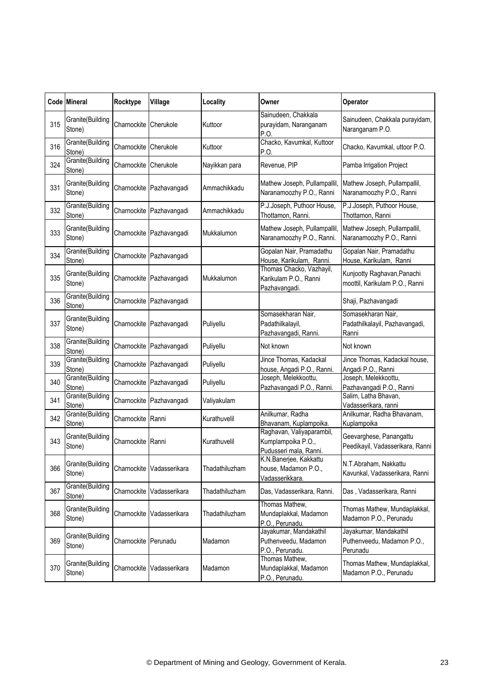|     | Code Mineral               | Rocktype              | Village                  | Locality       | Owner                                                                     | Operator                                                         |
|-----|----------------------------|-----------------------|--------------------------|----------------|---------------------------------------------------------------------------|------------------------------------------------------------------|
| 315 | Granite(Building<br>Stone) | Charnockite           | Cherukole                | Kuttoor        | Sainudeen, Chakkala<br>purayidam, Naranganam<br>P.O                       | Sainudeen, Chakkala purayidam,<br>Naranganam P.O.                |
| 316 | Granite(Building<br>Stone) | Charnockite           | Cherukole                | Kuttoor        | Chacko, Kavumkal, Kuttoor<br>P.O.                                         | Chacko, Kavumkal, uttoor P.O.                                    |
| 324 | Granite(Building<br>Stone) | Charnockite Cherukole |                          | Nayikkan para  | Revenue, PIP                                                              | Pamba Irrigation Project                                         |
| 331 | Granite(Building<br>Stone) |                       | Charnockite Pazhavangadi | Ammachikkadu   | Mathew Joseph, Pullampallil,<br>Naranamoozhy P.O., Ranni                  | Mathew Joseph, Pullampallil,<br>Naranamoozhy P.O., Ranni         |
| 332 | Granite(Building<br>Stone) | Charnockite           | Pazhavangadi             | Ammachikkadu   | P.J.Joseph, Puthoor House,<br>Thottamon, Ranni.                           | P.J.Joseph, Puthoor House,<br>Thottamon, Ranni                   |
| 333 | Granite(Building<br>Stone) |                       | Charnockite Pazhavangadi | Mukkalumon     | Mathew Joseph, Pullampallil,<br>Naranamoozhy P.O., Ranni.                 | Mathew Joseph, Pullampallil,<br>Naranamoozhy P.O., Ranni         |
| 334 | Granite(Building<br>Stone) | Charnockite           | Pazhavangadi             |                | Gopalan Nair, Pramadathu<br>House, Karikulam, Ranni.                      | Gopalan Nair, Pramadathu<br>House, Karikulam, Ranni              |
| 335 | Granite(Building<br>Stone) |                       | Charnockite Pazhavangadi | Mukkalumon     | Thomas Chacko, Vazhayil,<br>Karikulam P.O., Ranni<br>Pazhavangadi.        | Kunjootty Raghavan, Panachi<br>moottil, Karikulam P.O., Ranni    |
| 336 | Granite(Building<br>Stone) | Charnockite           | Pazhavangadi             |                |                                                                           | Shaji, Pazhavangadi                                              |
| 337 | Granite(Building<br>Stone) | Charnockite           | Pazhavangadi             | Puliyellu      | Somasekharan Nair,<br>Padathilkalayil,<br>Pazhavangadi, Ranni.            | Somasekharan Nair,<br>Padathilkalayil, Pazhavangadi,<br>Ranni    |
| 338 | Granite(Building<br>Stone) | Charnockite           | Pazhavangadi             | Puliyellu      | Not known                                                                 | Not known                                                        |
| 339 | Granite(Building<br>Stone) |                       | Charnockite Pazhavangadi | Puliyellu      | Jince Thomas, Kadackal<br>house, Angadi P.O., Ranni.                      | Jince Thomas, Kadackal house,<br>Angadi P.O., Ranni              |
| 340 | Granite(Building<br>Stone) |                       | Charnockite Pazhavangadi | Puliyellu      | Joseph, Melekkoottu,<br>Pazhavangadi P.O., Ranni.                         | Joseph, Melekkoottu,<br>Pazhavangadi P.O., Ranni                 |
| 341 | Granite(Building<br>Stone) | Charnockite           | Pazhavangadi             | Valiyakulam    |                                                                           | Salim, Latha Bhavan,<br>Vadasserikara, ranni                     |
| 342 | Granite(Building<br>Stone) | Charnockite           | Ranni                    | Kurathuvelil   | Anilkumar, Radha<br>Bhavanam, Kuplampoika.                                | Anilkumar, Radha Bhavanam,<br>Kuplampoika                        |
| 343 | Granite(Building<br>Stone) | Charnockite Ranni     |                          | Kurathuvelil   | Raghavan, Valiyaparambil,<br>Kumplampoika P.O.,<br>Pudusseri mala, Ranni. | Geevarghese, Panangattu<br>Peedikayil, Vadasserikara, Ranni      |
| 366 | Granite(Building<br>Stone) | Charnockite           | Vadasserikara            | Thadathiluzham | K.N.Banerjee, Kakkattu<br>house, Madamon P.O.,<br>Vadasserikkara.         | N.T.Abraham, Nakkattu<br>Kavunkal, Vadasserikara, Ranni          |
| 367 | Granite(Building<br>Stone) | Charnockite           | Vadasserikara            | Thadathiluzham | Das, Vadasserikara, Ranni.                                                | Das, Vadasserikara, Ranni                                        |
| 368 | Granite(Building<br>Stone) | Charnockite           | Vadasserikara            | Thadathiluzham | Thomas Mathew,<br>Mundaplakkal, Madamon<br>P.O., Perunadu.                | Thomas Mathew, Mundaplakkal,<br>Madamon P.O., Perunadu           |
| 369 | Granite(Building<br>Stone) | Charnockite           | Perunadu                 | Madamon        | Jayakumar, Mandakathil<br>Puthenveedu, Madamon<br>P.O., Perunadu.         | Jayakumar, Mandakathil<br>Puthenveedu, Madamon P.O.,<br>Perunadu |
| 370 | Granite(Building<br>Stone) | Charnockite           | Vadasserikara            | Madamon        | Thomas Mathew,<br>Mundaplakkal, Madamon<br>P.O., Perunadu.                | Thomas Mathew, Mundaplakkal,<br>Madamon P.O., Perunadu           |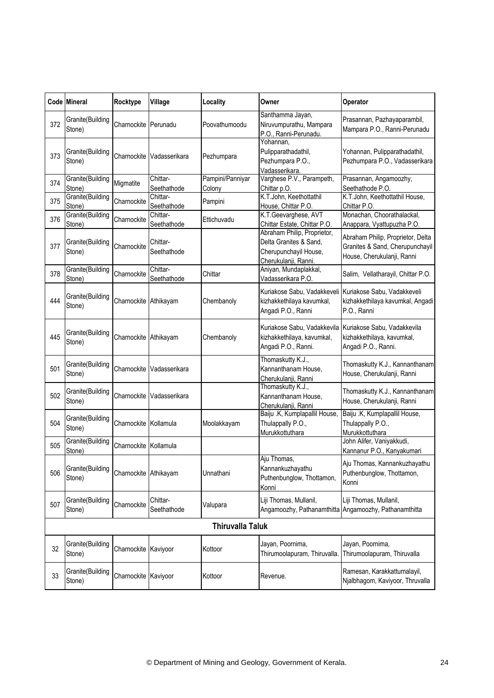|     | Code Mineral               | Rocktype              | Village                 | Locality                   | Owner                                                                                                  | Operator                                                                                           |
|-----|----------------------------|-----------------------|-------------------------|----------------------------|--------------------------------------------------------------------------------------------------------|----------------------------------------------------------------------------------------------------|
| 372 | Granite(Building<br>Stone) | Charnockite Perunadu  |                         | Poovathumoodu              | Santhamma Jayan,<br>Niruvumpurathu, Mampara<br>P.O., Ranni-Perunadu.                                   | Prasannan, Pazhayaparambil,<br>Mampara P.O., Ranni-Perunadu                                        |
| 373 | Granite(Building<br>Stone) | Charnockite           | Vadasserikara           | Pezhumpara                 | Yohannan,<br>Pulipparathadathil,<br>Pezhumpara P.O.,<br>Vadasserikara.                                 | Yohannan, Pulipparathadathil,<br>Pezhumpara P.O., Vadasserikara                                    |
| 374 | Granite(Building<br>Stone) | Migmatite             | Chittar-<br>Seethathode | Pampini/Panniyar<br>Colony | Varghese P.V., Parampeth,<br>Chittar p.O.                                                              | Prasannan, Angamoozhy,<br>Seethathode P.O.                                                         |
| 375 | Granite(Building<br>Stone) | Charnockite           | Chittar-<br>Seethathode | Pampini                    | K.T.John, Keethottathil<br>House, Chittar P.O.                                                         | K.T.John, Keethottathil House,<br>Chittar P.O.                                                     |
| 376 | Granite(Building<br>Stone) | Charnockite           | Chittar-<br>Seethathode | Ettichuvadu                | K.T.Geevarghese, AVT<br>Chittar Estate, Chittar P.O.                                                   | Monachan, Choorathalackal,<br>Anappara, Vyattupuzha P.O.                                           |
| 377 | Granite(Building<br>Stone) | Charnockite           | Chittar-<br>Seethathode |                            | Abraham Philip, Proprietor,<br>Delta Granites & Sand,<br>Cherupunchayil House,<br>Cherukulanji, Ranni. | Abraham Philip, Proprietor, Delta<br>Granites & Sand, Cherupunchayil<br>House, Cherukulanji, Ranni |
| 378 | Granite(Building<br>Stone) | Charnockite           | Chittar-<br>Seethathode | Chittar                    | Aniyan, Mundaplakkal,<br>Vadasserikara P.O.                                                            | Salim, Vellatharayil, Chittar P.O.                                                                 |
| 444 | Granite(Building<br>Stone) | Charnockite Athikayam |                         | Chembanoly                 | Kuriakose Sabu, Vadakkeveli<br>kizhakkethilaya kavumkal,<br>Angadi P.O., Ranni                         | Kuriakose Sabu, Vadakkeveli<br>kizhakkethilaya kavumkal, Angadi<br>P.O., Ranni                     |
| 445 | Granite(Building<br>Stone) | Charnockite Athikayam |                         | Chembanoly                 | Kuriakose Sabu, Vadakkevila<br>kizhakkethilaya, kavumkal,<br>Angadi P.O., Ranni.                       | Kuriakose Sabu, Vadakkevila<br>kizhakkethilaya, kavumkal,<br>Angadi P.O., Ranni.                   |
| 501 | Granite(Building<br>Stone) | Charnockite           | Vadasserikara           |                            | Thomaskutty K.J.,<br>Kannanthanam House,<br>Cherukulanji, Ranni                                        | Thomaskutty K.J., Kannanthanam<br>House, Cherukulanji, Ranni                                       |
| 502 | Granite(Building<br>Stone) | Charnockite           | Vadasserikara           |                            | Thomaskutty K.J.,<br>Kannanthanam House,<br>Cherukulanji, Ranni                                        | Thomaskutty K.J., Kannanthanam<br>House, Cherukulanji, Ranni                                       |
| 504 | Granite(Building<br>Stone) | Charnockite Kollamula |                         | Moolakkayam                | Baiju .K, Kumplapallil House,<br>Thulappally P.O.,<br>Murukkottuthara                                  | Baiju .K, Kumplapallil House,<br>Thulappally P.O.,<br>Murukkottuthara                              |
| 505 | Granite(Building<br>Stone) | Charnockite Kollamula |                         |                            |                                                                                                        | John Alifer, Vaniyakkudi,<br>Kannanur P.O., Kanyakumari                                            |
| 506 | Granite(Building<br>Stone) | Charnockite Athikayam |                         | Unnathani                  | Aju Thomas,<br>Kannankuzhayathu<br>Puthenbunglow, Thottamon,<br>Konni                                  | Aju Thomas, Kannankuzhayathu<br>Puthenbunglow, Thottamon,<br>Konni                                 |
| 507 | Granite(Building<br>Stone) | Charnockite           | Chittar-<br>Seethathode | Valupara                   | Liji Thomas, Mullanil,                                                                                 | Liji Thomas, Mullanil,<br>Angamoozhy, Pathanamthitta Angamoozhy, Pathanamthitta                    |
|     |                            |                       |                         | <b>Thiruvalla Taluk</b>    |                                                                                                        |                                                                                                    |
| 32  | Granite(Building<br>Stone) | Charnockite Kaviyoor  |                         | Kottoor                    | Jayan, Poornima,<br>Thirumoolapuram, Thiruvalla.                                                       | Jayan, Poornima,<br>Thirumoolapuram, Thiruvalla                                                    |
| 33  | Granite(Building<br>Stone) | Charnockite Kaviyoor  |                         | Kottoor                    | Revenue.                                                                                               | Ramesan, Karakkattumalayil,<br>Njalbhagom, Kaviyoor, Thruvalla                                     |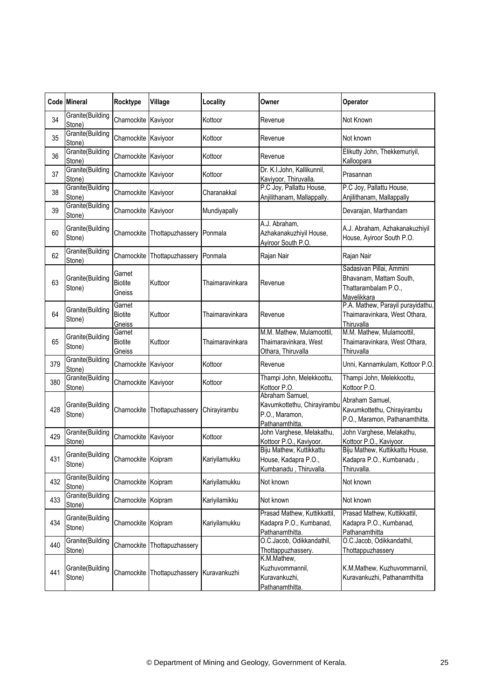|     | Code Mineral               | Rocktype                           | Village                       | Locality        | Owner                                                                               | Operator                                                                                   |
|-----|----------------------------|------------------------------------|-------------------------------|-----------------|-------------------------------------------------------------------------------------|--------------------------------------------------------------------------------------------|
| 34  | Granite(Building<br>Stone) | Charnockite Kaviyoor               |                               | Kottoor         | Revenue                                                                             | Not Known                                                                                  |
| 35  | Granite(Building<br>Stone) | Charnockite Kaviyoor               |                               | Kottoor         | Revenue                                                                             | Not known                                                                                  |
| 36  | Granite(Building<br>Stone) | Charnockite Kaviyoor               |                               | Kottoor         | Revenue                                                                             | Elikutty John, Thekkemuriyil,<br>Kalloopara                                                |
| 37  | Granite(Building<br>Stone) | Charnockite Kaviyoor               |                               | Kottoor         | Dr. K.I.John, Kallikunnil,<br>Kaviyoor, Thiruvalla.                                 | Prasannan                                                                                  |
| 38  | Granite(Building<br>Stone) | Charnockite Kaviyoor               |                               | Charanakkal     | P.C Joy, Pallattu House,<br>Anjilithanam, Mallappally.                              | P.C Joy, Pallattu House,<br>Anjilithanam, Mallappally                                      |
| 39  | Granite(Building<br>Stone) | Charnockite Kaviyoor               |                               | Mundiyapally    |                                                                                     | Devarajan, Marthandam                                                                      |
| 60  | Granite(Building<br>Stone) | Charnockite                        | Thottapuzhassery Ponmala      |                 | A.J. Abraham,<br>Azhakanakuzhiyil House,<br>Ayiroor South P.O.                      | A.J. Abraham, Azhakanakuzhiyil<br>House, Ayiroor South P.O.                                |
| 62  | Granite(Building<br>Stone) | Charnockite                        | Thottapuzhassery Ponmala      |                 | Rajan Nair                                                                          | Rajan Nair                                                                                 |
| 63  | Granite(Building<br>Stone) | Garnet<br><b>Biotite</b><br>Gneiss | Kuttoor                       | Thaimaravinkara | Revenue                                                                             | Sadasivan Pillai, Ammini<br>Bhavanam, Mattam South,<br>Thattarambalam P.O.,<br>Mavelikkara |
| 64  | Granite(Building<br>Stone) | Garnet<br><b>Biotite</b><br>Gneiss | Kuttoor                       | Thaimaravinkara | Revenue                                                                             | P.A. Mathew, Parayil purayidathu,<br>Thaimaravinkara, West Othara,<br>Thiruvalla           |
| 65  | Granite(Building<br>Stone) | Garnet<br><b>Biotite</b><br>Gneiss | Kuttoor                       | Thaimaravinkara | M.M. Mathew, Mulamoottil,<br>Thaimaravinkara, West<br>Othara, Thiruvalla            | M.M. Mathew, Mulamoottil,<br>Thaimaravinkara, West Othara,<br>Thiruvalla                   |
| 379 | Granite(Building<br>Stone) | Charnockite Kaviyoor               |                               | Kottoor         | Revenue                                                                             | Unni, Kannamkulam, Kottoor P.O.                                                            |
| 380 | Granite(Building<br>Stone) | Charnockite Kaviyoor               |                               | Kottoor         | Thampi John, Melekkoottu,<br>Kottoor P.O.                                           | Thampi John, Melekkoottu,<br>Kottoor P.O.                                                  |
| 428 | Granite(Building<br>Stone) | Charnockite                        | Thottapuzhassery              | Chirayirambu    | Abraham Samuel,<br>Kavumkottethu, Chirayirambu<br>P.O., Maramon,<br>Pathanamthitta. | Abraham Samuel,<br>Kavumkottethu, Chirayirambu<br>P.O., Maramon, Pathanamthitta.           |
| 429 | Granite(Building<br>Stone) | Charnockite Kaviyoor               |                               | Kottoor         | John Varghese, Melakathu,<br>Kottoor P.O., Kaviyoor.                                | John Varghese, Melakathu,<br>Kottoor P.O., Kaviyoor.                                       |
| 431 | Granite(Building<br>Stone) | Charnockite Koipram                |                               | Kariyilamukku   | Biju Mathew, Kuttikkattu<br>House, Kadapra P.O.<br>Kumbanadu, Thiruvalla.           | Biju Mathew, Kuttikkattu House,<br>Kadapra P.O., Kumbanadu,<br>Thiruvalla.                 |
| 432 | Granite(Building<br>Stone) | Charnockite Koipram                |                               | Kariyilamukku   | Not known                                                                           | Not known                                                                                  |
| 433 | Granite(Building<br>Stone) | Charnockite                        | Koipram                       | Kariyilamikku   | Not known                                                                           | Not known                                                                                  |
| 434 | Granite(Building<br>Stone) | Charnockite Koipram                |                               | Kariyilamukku   | Prasad Mathew, Kuttikkattil,<br>Kadapra P.O., Kumbanad,<br>Pathanamthitta.          | Prasad Mathew, Kuttikkattil,<br>Kadapra P.O., Kumbanad,<br>Pathanamthitta                  |
| 440 | Granite(Building<br>Stone) | Charnockite                        | Thottapuzhassery              |                 | O.C.Jacob, Odikkandathil,<br>Thottappuzhassery.                                     | O.C.Jacob, Odikkandathil,<br>Thottappuzhassery                                             |
| 441 | Granite(Building<br>Stone) | Charnockite                        | Thottapuzhassery Kuravankuzhi |                 | K.M.Mathew,<br>Kuzhuvommannil,<br>Kuravankuzhi,<br>Pathanamthitta.                  | K.M.Mathew, Kuzhuvommannil,<br>Kuravankuzhi, Pathanamthitta                                |